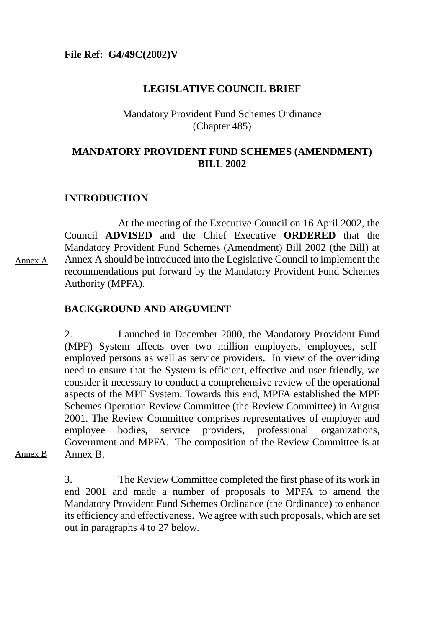## **LEGISLATIVE COUNCIL BRIEF**

# Mandatory Provident Fund Schemes Ordinance (Chapter 485)

## **MANDATORY PROVIDENT FUND SCHEMES (AMENDMENT) BILL 2002**

# **INTRODUCTION**

At the meeting of the Executive Council on 16 April 2002, the Council **ADVISED** and the Chief Executive **ORDERED** that the Mandatory Provident Fund Schemes (Amendment) Bill 2002 (the Bill) at Annex A should be introduced into the Legislative Council to implement the recommendations put forward by the Mandatory Provident Fund Schemes Authority (MPFA). Annex A

# **BACKGROUND AND ARGUMENT**

2. Launched in December 2000, the Mandatory Provident Fund (MPF) System affects over two million employers, employees, selfemployed persons as well as service providers. In view of the overriding need to ensure that the System is efficient, effective and user-friendly, we consider it necessary to conduct a comprehensive review of the operational aspects of the MPF System. Towards this end, MPFA established the MPF Schemes Operation Review Committee (the Review Committee) in August 2001. The Review Committee comprises representatives of employer and employee bodies, service providers, professional organizations, Government and MPFA. The composition of the Review Committee is at Annex B.

Annex B

3. The Review Committee completed the first phase of its work in end 2001 and made a number of proposals to MPFA to amend the Mandatory Provident Fund Schemes Ordinance (the Ordinance) to enhance its efficiency and effectiveness. We agree with such proposals, which are set out in paragraphs 4 to 27 below.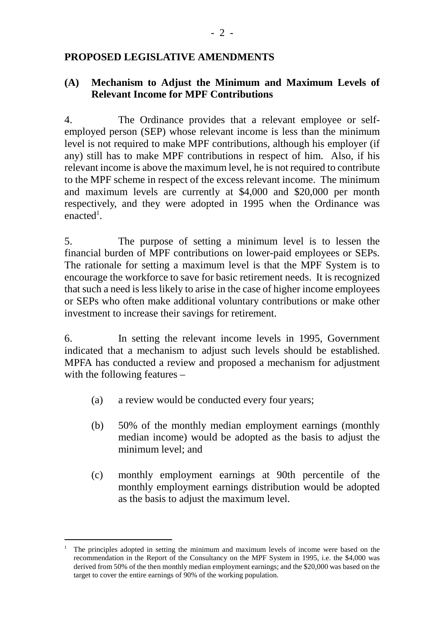## **PROPOSED LEGISLATIVE AMENDMENTS**

## **(A) Mechanism to Adjust the Minimum and Maximum Levels of Relevant Income for MPF Contributions**

4. The Ordinance provides that a relevant employee or selfemployed person (SEP) whose relevant income is less than the minimum level is not required to make MPF contributions, although his employer (if any) still has to make MPF contributions in respect of him. Also, if his relevant income is above the maximum level, he is not required to contribute to the MPF scheme in respect of the excess relevant income. The minimum and maximum levels are currently at \$4,000 and \$20,000 per month respectively, and they were adopted in 1995 when the Ordinance was enacted<sup>1</sup>.

5. The purpose of setting a minimum level is to lessen the financial burden of MPF contributions on lower-paid employees or SEPs. The rationale for setting a maximum level is that the MPF System is to encourage the workforce to save for basic retirement needs. It is recognized that such a need is less likely to arise in the case of higher income employees or SEPs who often make additional voluntary contributions or make other investment to increase their savings for retirement.

6. In setting the relevant income levels in 1995, Government indicated that a mechanism to adjust such levels should be established. MPFA has conducted a review and proposed a mechanism for adjustment with the following features –

- (a) a review would be conducted every four years;
- (b) 50% of the monthly median employment earnings (monthly median income) would be adopted as the basis to adjust the minimum level; and
- (c) monthly employment earnings at 90th percentile of the monthly employment earnings distribution would be adopted as the basis to adjust the maximum level.

 $\overline{a}$ 

<sup>1</sup> The principles adopted in setting the minimum and maximum levels of income were based on the recommendation in the Report of the Consultancy on the MPF System in 1995, i.e. the \$4,000 was derived from 50% of the then monthly median employment earnings; and the \$20,000 was based on the target to cover the entire earnings of 90% of the working population.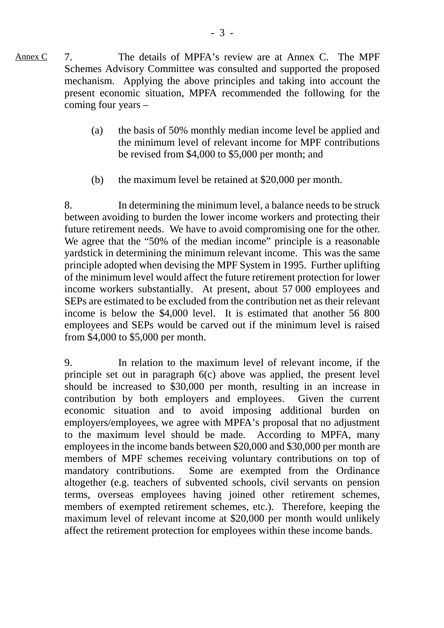7. The details of MPFA's review are at Annex C. The MPF Schemes Advisory Committee was consulted and supported the proposed mechanism. Applying the above principles and taking into account the present economic situation, MPFA recommended the following for the coming four years – Annex C

- (a) the basis of 50% monthly median income level be applied and the minimum level of relevant income for MPF contributions be revised from \$4,000 to \$5,000 per month; and
- (b) the maximum level be retained at \$20,000 per month.

8. In determining the minimum level, a balance needs to be struck between avoiding to burden the lower income workers and protecting their future retirement needs. We have to avoid compromising one for the other. We agree that the "50% of the median income" principle is a reasonable yardstick in determining the minimum relevant income. This was the same principle adopted when devising the MPF System in 1995. Further uplifting of the minimum level would affect the future retirement protection for lower income workers substantially. At present, about 57 000 employees and SEPs are estimated to be excluded from the contribution net as their relevant income is below the \$4,000 level. It is estimated that another 56 800 employees and SEPs would be carved out if the minimum level is raised from \$4,000 to \$5,000 per month.

9. In relation to the maximum level of relevant income, if the principle set out in paragraph 6(c) above was applied, the present level should be increased to \$30,000 per month, resulting in an increase in contribution by both employers and employees. Given the current economic situation and to avoid imposing additional burden on employers/employees, we agree with MPFA's proposal that no adjustment to the maximum level should be made. According to MPFA, many employees in the income bands between \$20,000 and \$30,000 per month are members of MPF schemes receiving voluntary contributions on top of mandatory contributions. Some are exempted from the Ordinance altogether (e.g. teachers of subvented schools, civil servants on pension terms, overseas employees having joined other retirement schemes, members of exempted retirement schemes, etc.). Therefore, keeping the maximum level of relevant income at \$20,000 per month would unlikely affect the retirement protection for employees within these income bands.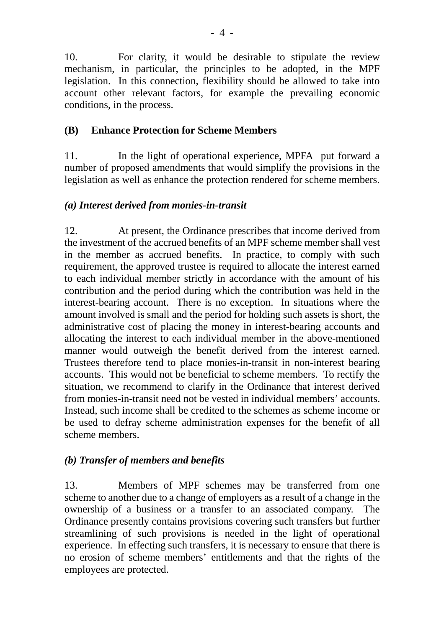10. For clarity, it would be desirable to stipulate the review mechanism, in particular, the principles to be adopted, in the MPF legislation. In this connection, flexibility should be allowed to take into account other relevant factors, for example the prevailing economic conditions, in the process.

# **(B) Enhance Protection for Scheme Members**

11. In the light of operational experience, MPFA put forward a number of proposed amendments that would simplify the provisions in the legislation as well as enhance the protection rendered for scheme members.

# *(a) Interest derived from monies-in-transit*

12. At present, the Ordinance prescribes that income derived from the investment of the accrued benefits of an MPF scheme member shall vest in the member as accrued benefits. In practice, to comply with such requirement, the approved trustee is required to allocate the interest earned to each individual member strictly in accordance with the amount of his contribution and the period during which the contribution was held in the interest-bearing account. There is no exception. In situations where the amount involved is small and the period for holding such assets is short, the administrative cost of placing the money in interest-bearing accounts and allocating the interest to each individual member in the above-mentioned manner would outweigh the benefit derived from the interest earned. Trustees therefore tend to place monies-in-transit in non-interest bearing accounts. This would not be beneficial to scheme members. To rectify the situation, we recommend to clarify in the Ordinance that interest derived from monies-in-transit need not be vested in individual members' accounts. Instead, such income shall be credited to the schemes as scheme income or be used to defray scheme administration expenses for the benefit of all scheme members.

# *(b) Transfer of members and benefits*

13. Members of MPF schemes may be transferred from one scheme to another due to a change of employers as a result of a change in the ownership of a business or a transfer to an associated company. The Ordinance presently contains provisions covering such transfers but further streamlining of such provisions is needed in the light of operational experience. In effecting such transfers, it is necessary to ensure that there is no erosion of scheme members' entitlements and that the rights of the employees are protected.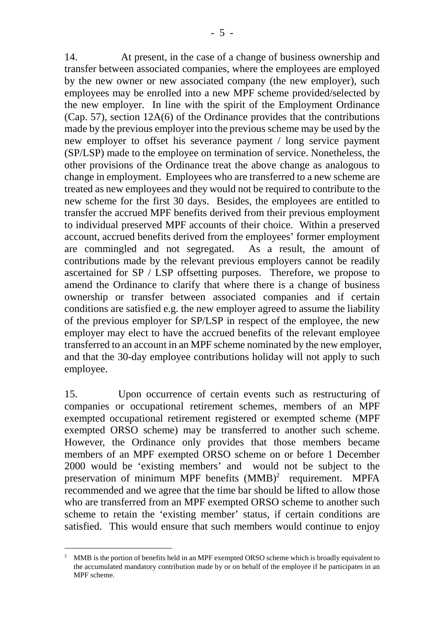14. At present, in the case of a change of business ownership and transfer between associated companies, where the employees are employed by the new owner or new associated company (the new employer), such employees may be enrolled into a new MPF scheme provided/selected by the new employer. In line with the spirit of the Employment Ordinance (Cap. 57), section 12A(6) of the Ordinance provides that the contributions made by the previous employer into the previous scheme may be used by the new employer to offset his severance payment / long service payment (SP/LSP) made to the employee on termination of service. Nonetheless, the other provisions of the Ordinance treat the above change as analogous to change in employment. Employees who are transferred to a new scheme are treated as new employees and they would not be required to contribute to the new scheme for the first 30 days. Besides, the employees are entitled to transfer the accrued MPF benefits derived from their previous employment to individual preserved MPF accounts of their choice. Within a preserved account, accrued benefits derived from the employees' former employment are commingled and not segregated. As a result, the amount of contributions made by the relevant previous employers cannot be readily ascertained for SP / LSP offsetting purposes. Therefore, we propose to amend the Ordinance to clarify that where there is a change of business ownership or transfer between associated companies and if certain conditions are satisfied e.g. the new employer agreed to assume the liability of the previous employer for SP/LSP in respect of the employee, the new employer may elect to have the accrued benefits of the relevant employee transferred to an account in an MPF scheme nominated by the new employer, and that the 30-day employee contributions holiday will not apply to such employee.

15. Upon occurrence of certain events such as restructuring of companies or occupational retirement schemes, members of an MPF exempted occupational retirement registered or exempted scheme (MPF exempted ORSO scheme) may be transferred to another such scheme. However, the Ordinance only provides that those members became members of an MPF exempted ORSO scheme on or before 1 December 2000 would be 'existing members' and would not be subject to the preservation of minimum MPF benefits  $(MMB)^2$  requirement. MPFA recommended and we agree that the time bar should be lifted to allow those who are transferred from an MPF exempted ORSO scheme to another such scheme to retain the 'existing member' status, if certain conditions are satisfied. This would ensure that such members would continue to enjoy

 $\overline{a}$ 

<sup>2</sup> MMB is the portion of benefits held in an MPF exempted ORSO scheme which is broadly equivalent to the accumulated mandatory contribution made by or on behalf of the employee if he participates in an MPF scheme.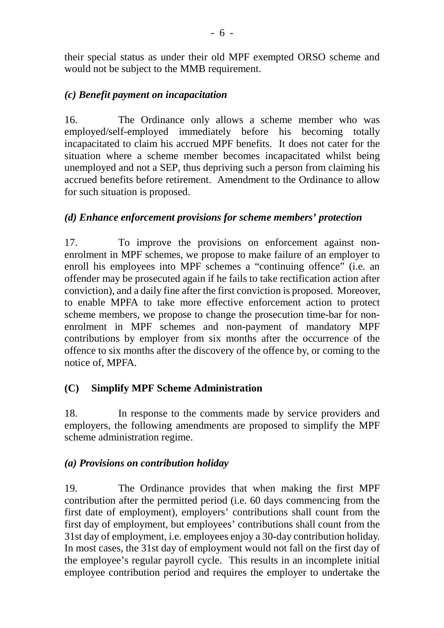their special status as under their old MPF exempted ORSO scheme and would not be subject to the MMB requirement.

# *(c) Benefit payment on incapacitation*

16. The Ordinance only allows a scheme member who was employed/self-employed immediately before his becoming totally incapacitated to claim his accrued MPF benefits. It does not cater for the situation where a scheme member becomes incapacitated whilst being unemployed and not a SEP, thus depriving such a person from claiming his accrued benefits before retirement. Amendment to the Ordinance to allow for such situation is proposed.

# *(d) Enhance enforcement provisions for scheme members' protection*

17. To improve the provisions on enforcement against nonenrolment in MPF schemes, we propose to make failure of an employer to enroll his employees into MPF schemes a "continuing offence" (i.e. an offender may be prosecuted again if he fails to take rectification action after conviction), and a daily fine after the first conviction is proposed. Moreover, to enable MPFA to take more effective enforcement action to protect scheme members, we propose to change the prosecution time-bar for nonenrolment in MPF schemes and non-payment of mandatory MPF contributions by employer from six months after the occurrence of the offence to six months after the discovery of the offence by, or coming to the notice of, MPFA.

# **(C) Simplify MPF Scheme Administration**

18. In response to the comments made by service providers and employers, the following amendments are proposed to simplify the MPF scheme administration regime.

# *(a) Provisions on contribution holiday*

19. The Ordinance provides that when making the first MPF contribution after the permitted period (i.e. 60 days commencing from the first date of employment), employers' contributions shall count from the first day of employment, but employees' contributions shall count from the 31st day of employment, i.e. employees enjoy a 30-day contribution holiday. In most cases, the 31st day of employment would not fall on the first day of the employee's regular payroll cycle. This results in an incomplete initial employee contribution period and requires the employer to undertake the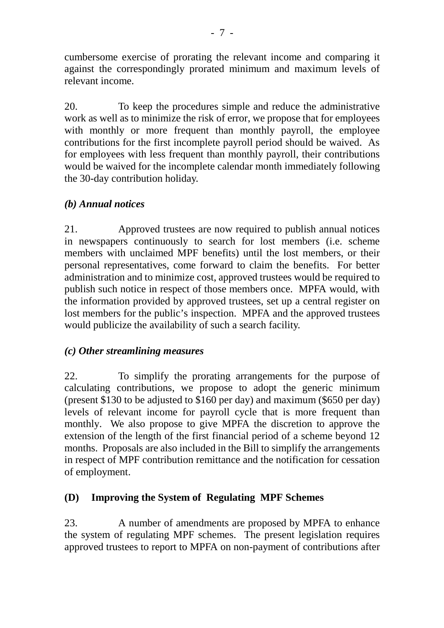cumbersome exercise of prorating the relevant income and comparing it against the correspondingly prorated minimum and maximum levels of relevant income.

20. To keep the procedures simple and reduce the administrative work as well as to minimize the risk of error, we propose that for employees with monthly or more frequent than monthly payroll, the employee contributions for the first incomplete payroll period should be waived. As for employees with less frequent than monthly payroll, their contributions would be waived for the incomplete calendar month immediately following the 30-day contribution holiday.

# *(b) Annual notices*

21. Approved trustees are now required to publish annual notices in newspapers continuously to search for lost members (i.e. scheme members with unclaimed MPF benefits) until the lost members, or their personal representatives, come forward to claim the benefits. For better administration and to minimize cost, approved trustees would be required to publish such notice in respect of those members once. MPFA would, with the information provided by approved trustees, set up a central register on lost members for the public's inspection. MPFA and the approved trustees would publicize the availability of such a search facility.

# *(c) Other streamlining measures*

22. To simplify the prorating arrangements for the purpose of calculating contributions, we propose to adopt the generic minimum (present \$130 to be adjusted to \$160 per day) and maximum (\$650 per day) levels of relevant income for payroll cycle that is more frequent than monthly. We also propose to give MPFA the discretion to approve the extension of the length of the first financial period of a scheme beyond 12 months. Proposals are also included in the Bill to simplify the arrangements in respect of MPF contribution remittance and the notification for cessation of employment.

# **(D) Improving the System of Regulating MPF Schemes**

23. A number of amendments are proposed by MPFA to enhance the system of regulating MPF schemes. The present legislation requires approved trustees to report to MPFA on non-payment of contributions after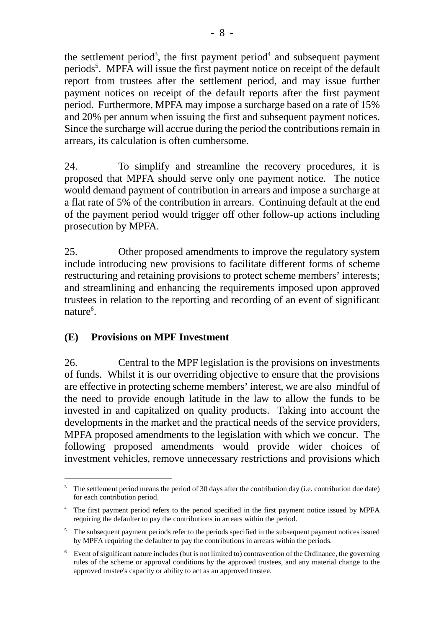the settlement period<sup>3</sup>, the first payment period<sup>4</sup> and subsequent payment periods<sup>5</sup>. MPFA will issue the first payment notice on receipt of the default report from trustees after the settlement period, and may issue further payment notices on receipt of the default reports after the first payment period. Furthermore, MPFA may impose a surcharge based on a rate of 15% and 20% per annum when issuing the first and subsequent payment notices. Since the surcharge will accrue during the period the contributions remain in arrears, its calculation is often cumbersome.

24. To simplify and streamline the recovery procedures, it is proposed that MPFA should serve only one payment notice. The notice would demand payment of contribution in arrears and impose a surcharge at a flat rate of 5% of the contribution in arrears. Continuing default at the end of the payment period would trigger off other follow-up actions including prosecution by MPFA.

25. Other proposed amendments to improve the regulatory system include introducing new provisions to facilitate different forms of scheme restructuring and retaining provisions to protect scheme members' interests; and streamlining and enhancing the requirements imposed upon approved trustees in relation to the reporting and recording of an event of significant nature<sup>6</sup>.

# **(E) Provisions on MPF Investment**

 $\overline{a}$ 

26. Central to the MPF legislation is the provisions on investments of funds. Whilst it is our overriding objective to ensure that the provisions are effective in protecting scheme members' interest, we are also mindful of the need to provide enough latitude in the law to allow the funds to be invested in and capitalized on quality products. Taking into account the developments in the market and the practical needs of the service providers, MPFA proposed amendments to the legislation with which we concur. The following proposed amendments would provide wider choices of investment vehicles, remove unnecessary restrictions and provisions which

<sup>&</sup>lt;sup>3</sup> The settlement period means the period of 30 days after the contribution day (i.e. contribution due date) for each contribution period.

<sup>&</sup>lt;sup>4</sup> The first payment period refers to the period specified in the first payment notice issued by MPFA requiring the defaulter to pay the contributions in arrears within the period.

<sup>&</sup>lt;sup>5</sup> The subsequent payment periods refer to the periods specified in the subsequent payment notices issued by MPFA requiring the defaulter to pay the contributions in arrears within the periods.

<sup>&</sup>lt;sup>6</sup> Event of significant nature includes (but is not limited to) contravention of the Ordinance, the governing rules of the scheme or approval conditions by the approved trustees, and any material change to the approved trustee's capacity or ability to act as an approved trustee.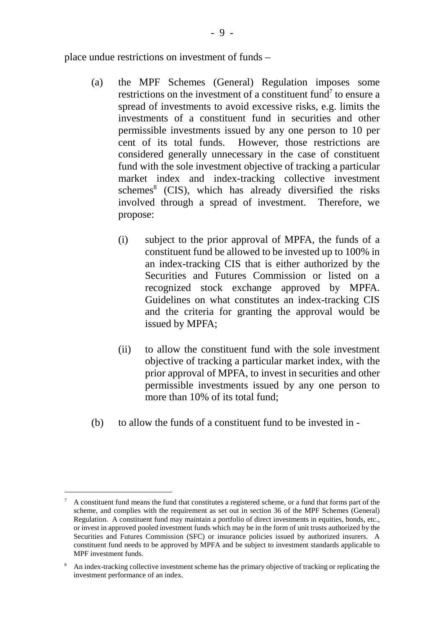place undue restrictions on investment of funds –

- (a) the MPF Schemes (General) Regulation imposes some restrictions on the investment of a constituent fund<sup>7</sup> to ensure a spread of investments to avoid excessive risks, e.g. limits the investments of a constituent fund in securities and other permissible investments issued by any one person to 10 per cent of its total funds. However, those restrictions are considered generally unnecessary in the case of constituent fund with the sole investment objective of tracking a particular market index and index-tracking collective investment schemes<sup>8</sup> (CIS), which has already diversified the risks involved through a spread of investment. Therefore, we propose:
	- (i) subject to the prior approval of MPFA, the funds of a constituent fund be allowed to be invested up to 100% in an index-tracking CIS that is either authorized by the Securities and Futures Commission or listed on a recognized stock exchange approved by MPFA. Guidelines on what constitutes an index-tracking CIS and the criteria for granting the approval would be issued by MPFA;
	- (ii) to allow the constituent fund with the sole investment objective of tracking a particular market index, with the prior approval of MPFA, to invest in securities and other permissible investments issued by any one person to more than 10% of its total fund;
- (b) to allow the funds of a constituent fund to be invested in -

 $\overline{a}$ 

<sup>7</sup> A constituent fund means the fund that constitutes a registered scheme, or a fund that forms part of the scheme, and complies with the requirement as set out in section 36 of the MPF Schemes (General) Regulation. A constituent fund may maintain a portfolio of direct investments in equities, bonds, etc., or invest in approved pooled investment funds which may be in the form of unit trusts authorized by the Securities and Futures Commission (SFC) or insurance policies issued by authorized insurers. A constituent fund needs to be approved by MPFA and be subject to investment standards applicable to MPF investment funds.

<sup>8</sup> An index-tracking collective investment scheme has the primary objective of tracking or replicating the investment performance of an index.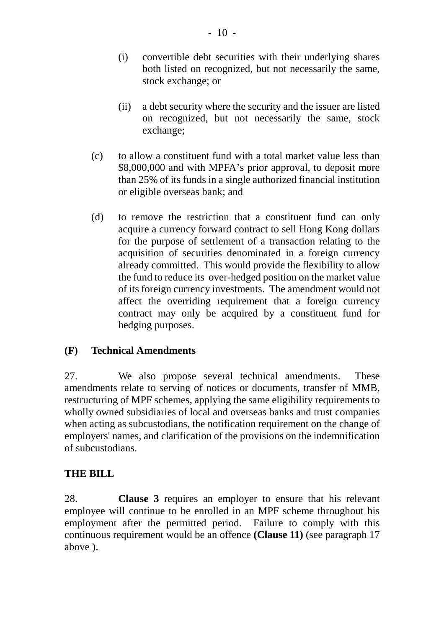- (i) convertible debt securities with their underlying shares both listed on recognized, but not necessarily the same, stock exchange; or
- (ii) a debt security where the security and the issuer are listed on recognized, but not necessarily the same, stock exchange;
- (c) to allow a constituent fund with a total market value less than \$8,000,000 and with MPFA's prior approval, to deposit more than 25% of its funds in a single authorized financial institution or eligible overseas bank; and
- (d) to remove the restriction that a constituent fund can only acquire a currency forward contract to sell Hong Kong dollars for the purpose of settlement of a transaction relating to the acquisition of securities denominated in a foreign currency already committed. This would provide the flexibility to allow the fund to reduce its over-hedged position on the market value of its foreign currency investments. The amendment would not affect the overriding requirement that a foreign currency contract may only be acquired by a constituent fund for hedging purposes.

# **(F) Technical Amendments**

27. We also propose several technical amendments. These amendments relate to serving of notices or documents, transfer of MMB, restructuring of MPF schemes, applying the same eligibility requirements to wholly owned subsidiaries of local and overseas banks and trust companies when acting as subcustodians, the notification requirement on the change of employers' names, and clarification of the provisions on the indemnification of subcustodians.

# **THE BILL**

28. **Clause 3** requires an employer to ensure that his relevant employee will continue to be enrolled in an MPF scheme throughout his employment after the permitted period. Failure to comply with this continuous requirement would be an offence **(Clause 11)** (see paragraph 17 above ).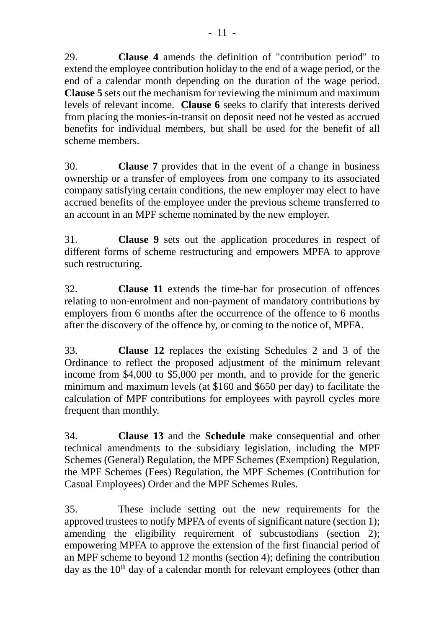29. **Clause 4** amends the definition of "contribution period" to extend the employee contribution holiday to the end of a wage period, or the end of a calendar month depending on the duration of the wage period. **Clause 5** sets out the mechanism for reviewing the minimum and maximum levels of relevant income. **Clause 6** seeks to clarify that interests derived from placing the monies-in-transit on deposit need not be vested as accrued benefits for individual members, but shall be used for the benefit of all scheme members.

30. **Clause 7** provides that in the event of a change in business ownership or a transfer of employees from one company to its associated company satisfying certain conditions, the new employer may elect to have accrued benefits of the employee under the previous scheme transferred to an account in an MPF scheme nominated by the new employer.

31. **Clause 9** sets out the application procedures in respect of different forms of scheme restructuring and empowers MPFA to approve such restructuring.

32. **Clause 11** extends the time-bar for prosecution of offences relating to non-enrolment and non-payment of mandatory contributions by employers from 6 months after the occurrence of the offence to 6 months after the discovery of the offence by, or coming to the notice of, MPFA.

33. **Clause 12** replaces the existing Schedules 2 and 3 of the Ordinance to reflect the proposed adjustment of the minimum relevant income from \$4,000 to \$5,000 per month, and to provide for the generic minimum and maximum levels (at \$160 and \$650 per day) to facilitate the calculation of MPF contributions for employees with payroll cycles more frequent than monthly.

34. **Clause 13** and the **Schedule** make consequential and other technical amendments to the subsidiary legislation, including the MPF Schemes (General) Regulation, the MPF Schemes (Exemption) Regulation, the MPF Schemes (Fees) Regulation, the MPF Schemes (Contribution for Casual Employees) Order and the MPF Schemes Rules.

35. These include setting out the new requirements for the approved trustees to notify MPFA of events of significant nature (section 1); amending the eligibility requirement of subcustodians (section 2); empowering MPFA to approve the extension of the first financial period of an MPF scheme to beyond 12 months (section 4); defining the contribution day as the  $10<sup>th</sup>$  day of a calendar month for relevant employees (other than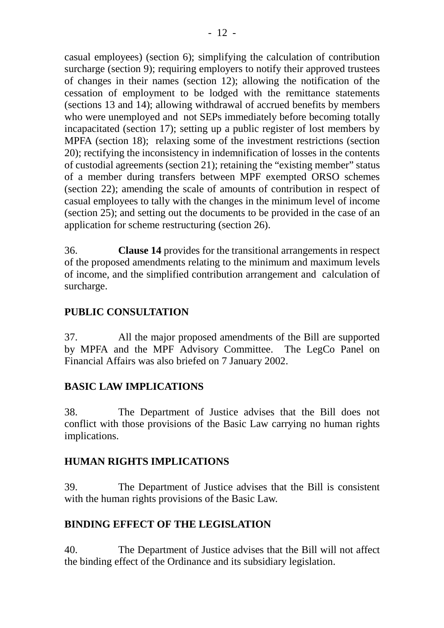casual employees) (section 6); simplifying the calculation of contribution surcharge (section 9); requiring employers to notify their approved trustees of changes in their names (section 12); allowing the notification of the cessation of employment to be lodged with the remittance statements (sections 13 and 14); allowing withdrawal of accrued benefits by members who were unemployed and not SEPs immediately before becoming totally incapacitated (section 17); setting up a public register of lost members by MPFA (section 18); relaxing some of the investment restrictions (section 20); rectifying the inconsistency in indemnification of losses in the contents of custodial agreements (section 21); retaining the "existing member" status of a member during transfers between MPF exempted ORSO schemes (section 22); amending the scale of amounts of contribution in respect of casual employees to tally with the changes in the minimum level of income (section 25); and setting out the documents to be provided in the case of an application for scheme restructuring (section 26).

36. **Clause 14** provides for the transitional arrangements in respect of the proposed amendments relating to the minimum and maximum levels of income, and the simplified contribution arrangement and calculation of surcharge.

# **PUBLIC CONSULTATION**

37. All the major proposed amendments of the Bill are supported by MPFA and the MPF Advisory Committee. The LegCo Panel on Financial Affairs was also briefed on 7 January 2002.

# **BASIC LAW IMPLICATIONS**

38. The Department of Justice advises that the Bill does not conflict with those provisions of the Basic Law carrying no human rights implications.

# **HUMAN RIGHTS IMPLICATIONS**

39. The Department of Justice advises that the Bill is consistent with the human rights provisions of the Basic Law.

# **BINDING EFFECT OF THE LEGISLATION**

40. The Department of Justice advises that the Bill will not affect the binding effect of the Ordinance and its subsidiary legislation.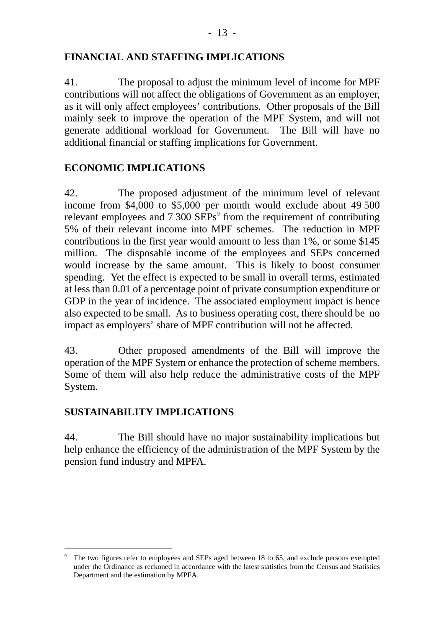# **FINANCIAL AND STAFFING IMPLICATIONS**

41. The proposal to adjust the minimum level of income for MPF contributions will not affect the obligations of Government as an employer, as it will only affect employees' contributions. Other proposals of the Bill mainly seek to improve the operation of the MPF System, and will not generate additional workload for Government. The Bill will have no additional financial or staffing implications for Government.

# **ECONOMIC IMPLICATIONS**

42. The proposed adjustment of the minimum level of relevant income from \$4,000 to \$5,000 per month would exclude about 49 500 relevant employees and 7 300 SEPs<sup>9</sup> from the requirement of contributing 5% of their relevant income into MPF schemes. The reduction in MPF contributions in the first year would amount to less than 1%, or some \$145 million. The disposable income of the employees and SEPs concerned would increase by the same amount. This is likely to boost consumer spending. Yet the effect is expected to be small in overall terms, estimated at less than 0.01 of a percentage point of private consumption expenditure or GDP in the year of incidence. The associated employment impact is hence also expected to be small. As to business operating cost, there should be no impact as employers' share of MPF contribution will not be affected.

43. Other proposed amendments of the Bill will improve the operation of the MPF System or enhance the protection of scheme members. Some of them will also help reduce the administrative costs of the MPF System.

## **SUSTAINABILITY IMPLICATIONS**

 $\overline{a}$ 

44. The Bill should have no major sustainability implications but help enhance the efficiency of the administration of the MPF System by the pension fund industry and MPFA.

<sup>9</sup> The two figures refer to employees and SEPs aged between 18 to 65, and exclude persons exempted under the Ordinance as reckoned in accordance with the latest statistics from the Census and Statistics Department and the estimation by MPFA.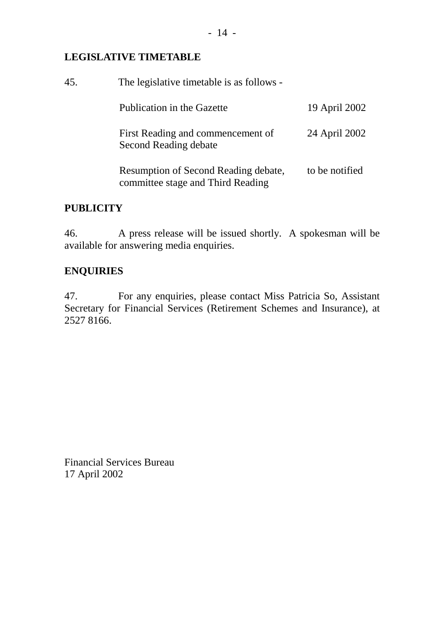# **LEGISLATIVE TIMETABLE**

| 45. | The legislative timetable is as follows -                                 |                |  |
|-----|---------------------------------------------------------------------------|----------------|--|
|     | Publication in the Gazette                                                | 19 April 2002  |  |
|     | First Reading and commencement of<br>Second Reading debate                | 24 April 2002  |  |
|     | Resumption of Second Reading debate,<br>committee stage and Third Reading | to be notified |  |

# **PUBLICITY**

46. A press release will be issued shortly. A spokesman will be available for answering media enquiries.

# **ENQUIRIES**

47. For any enquiries, please contact Miss Patricia So, Assistant Secretary for Financial Services (Retirement Schemes and Insurance), at 2527 8166.

Financial Services Bureau 17 April 2002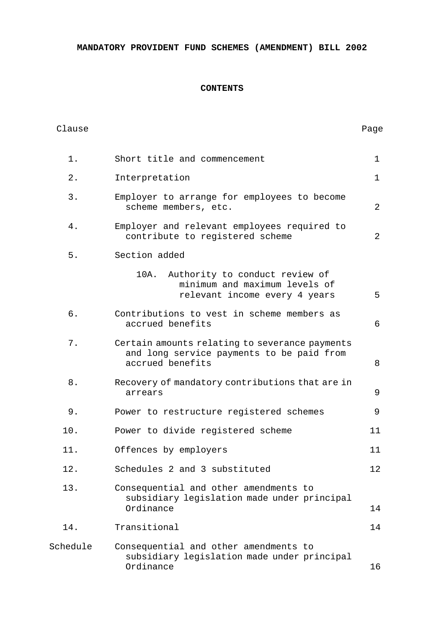**MANDATORY PROVIDENT FUND SCHEMES (AMENDMENT) BILL 2002**

## **CONTENTS**

| Clause   |                                                                                                                 | Page            |
|----------|-----------------------------------------------------------------------------------------------------------------|-----------------|
| $1$ .    | Short title and commencement                                                                                    | $\mathbf 1$     |
| 2.       | Interpretation                                                                                                  | $\mathbf{1}$    |
| 3.       | Employer to arrange for employees to become<br>scheme members, etc.                                             | 2               |
| 4.       | Employer and relevant employees required to<br>contribute to registered scheme                                  | 2               |
| 5.       | Section added                                                                                                   |                 |
|          | Authority to conduct review of<br>10A.<br>minimum and maximum levels of<br>relevant income every 4 years        | 5               |
| б.       | Contributions to vest in scheme members as<br>accrued benefits                                                  | 6               |
| 7.       | Certain amounts relating to severance payments<br>and long service payments to be paid from<br>accrued benefits | 8               |
| 8.       | Recovery of mandatory contributions that are in<br>arrears                                                      | 9               |
| 9.       | Power to restructure registered schemes                                                                         | 9               |
| 10.      | Power to divide registered scheme                                                                               | 11              |
| 11.      | Offences by employers                                                                                           | 11              |
| 12.      | Schedules 2 and 3 substituted                                                                                   | 12 <sub>2</sub> |
| 13.      | Consequential and other amendments to<br>subsidiary legislation made under principal<br>Ordinance               | 14              |
| 14.      | Transitional                                                                                                    | 14              |
| Schedule | Consequential and other amendments to<br>subsidiary legislation made under principal<br>Ordinance               | 16              |
|          |                                                                                                                 |                 |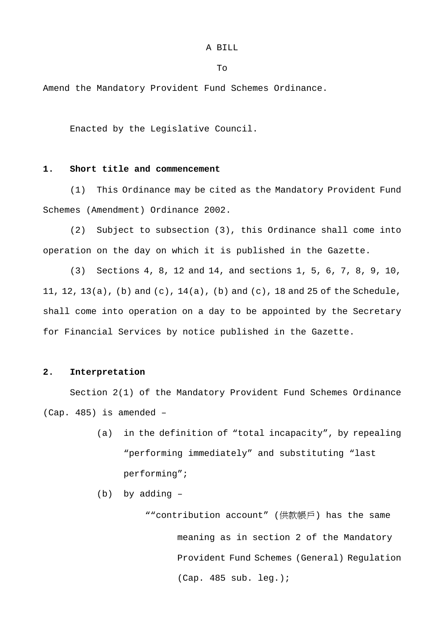A BILL

To

Amend the Mandatory Provident Fund Schemes Ordinance.

Enacted by the Legislative Council.

### **1. Short title and commencement**

(1) This Ordinance may be cited as the Mandatory Provident Fund Schemes (Amendment) Ordinance 2002.

(2) Subject to subsection (3), this Ordinance shall come into operation on the day on which it is published in the Gazette.

(3) Sections 4, 8, 12 and 14, and sections 1, 5, 6, 7, 8, 9, 10, 11, 12, 13(a), (b) and (c), 14(a), (b) and (c), 18 and 25 of the Schedule, shall come into operation on a day to be appointed by the Secretary for Financial Services by notice published in the Gazette.

## **2. Interpretation**

Section 2(1) of the Mandatory Provident Fund Schemes Ordinance (Cap. 485) is amended –

- (a) in the definition of "total incapacity", by repealing "performing immediately" and substituting "last performing";
- (b) by adding –

""contribution account" (供款帳戶) has the same meaning as in section 2 of the Mandatory Provident Fund Schemes (General) Regulation (Cap. 485 sub. leg.);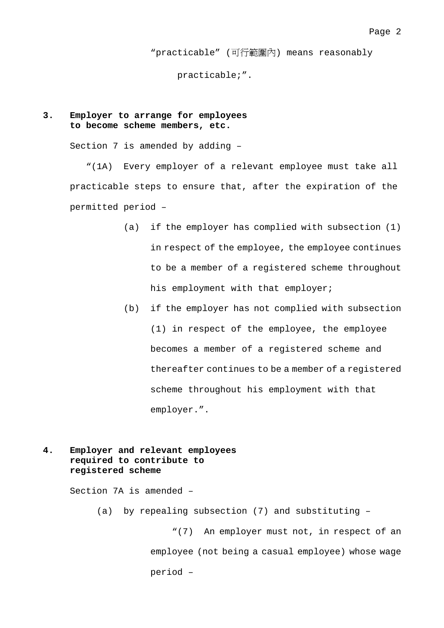"practicable" (可行範圍內) means reasonably

practicable;".

## **3. Employer to arrange for employees to become scheme members, etc.**

Section 7 is amended by adding –

"(1A) Every employer of a relevant employee must take all practicable steps to ensure that, after the expiration of the permitted period –

- (a) if the employer has complied with subsection (1) in respect of the employee, the employee continues to be a member of a registered scheme throughout his employment with that employer;
- (b) if the employer has not complied with subsection (1) in respect of the employee, the employee becomes a member of a registered scheme and thereafter continues to be a member of a registered scheme throughout his employment with that employer.".
- **4. Employer and relevant employees required to contribute to registered scheme**

Section 7A is amended –

(a) by repealing subsection (7) and substituting –

"(7) An employer must not, in respect of an employee (not being a casual employee) whose wage period –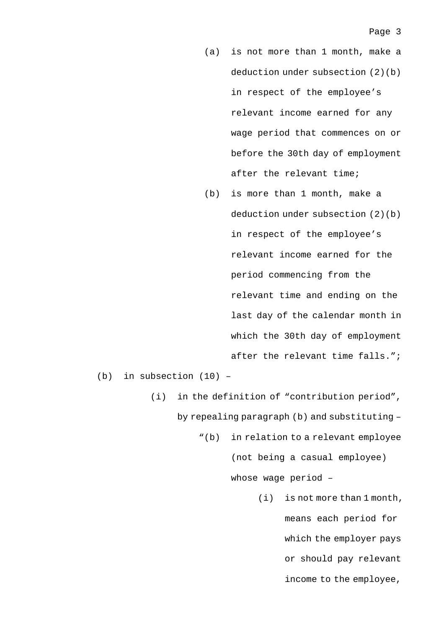- (a) is not more than 1 month, make a deduction under subsection (2)(b) in respect of the employee's relevant income earned for any wage period that commences on or before the 30th day of employment after the relevant time;
- (b) is more than 1 month, make a deduction under subsection (2)(b) in respect of the employee's relevant income earned for the period commencing from the relevant time and ending on the last day of the calendar month in which the 30th day of employment after the relevant time falls.";

(b) in subsection (10) –

(i) in the definition of "contribution period", by repealing paragraph (b) and substituting –

"(b) in relation to a relevant employee

(not being a casual employee)

whose wage period –

(i) is not more than 1 month, means each period for which the employer pays or should pay relevant income to the employee,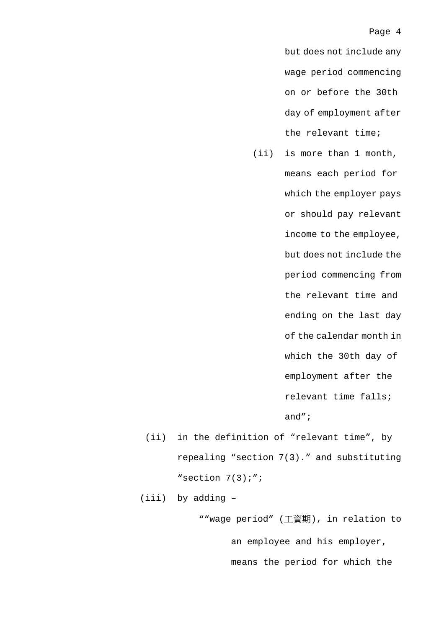but does not include any wage period commencing on or before the 30th day of employment after the relevant time;

- (ii) is more than 1 month, means each period for which the employer pays or should pay relevant income to the employee, but does not include the period commencing from the relevant time and ending on the last day of the calendar month in which the 30th day of employment after the relevant time falls; and";
- (ii) in the definition of "relevant time", by repealing "section 7(3)." and substituting "section 7(3);";

(iii) by adding –

""wage period" (工資期), in relation to an employee and his employer, means the period for which the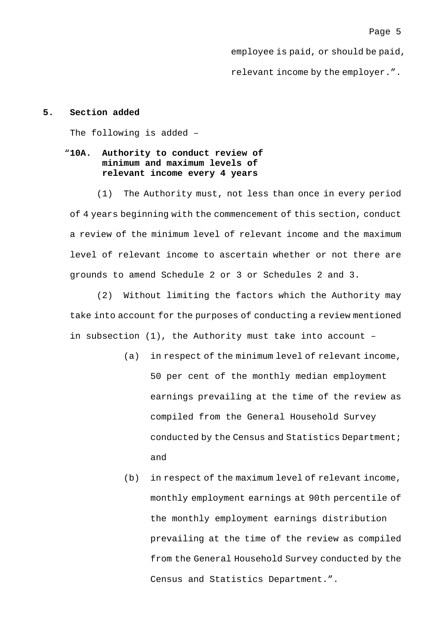employee is paid, or should be paid,

relevant income by the employer.".

## **5. Section added**

The following is added –

## "**10A. Authority to conduct review of minimum and maximum levels of relevant income every 4 years**

(1) The Authority must, not less than once in every period of 4 years beginning with the commencement of this section, conduct a review of the minimum level of relevant income and the maximum level of relevant income to ascertain whether or not there are grounds to amend Schedule 2 or 3 or Schedules 2 and 3.

(2) Without limiting the factors which the Authority may take into account for the purposes of conducting a review mentioned in subsection (1), the Authority must take into account –

- (a) in respect of the minimum level of relevant income, 50 per cent of the monthly median employment earnings prevailing at the time of the review as compiled from the General Household Survey conducted by the Census and Statistics Department; and
- (b) in respect of the maximum level of relevant income, monthly employment earnings at 90th percentile of the monthly employment earnings distribution prevailing at the time of the review as compiled from the General Household Survey conducted by the Census and Statistics Department.".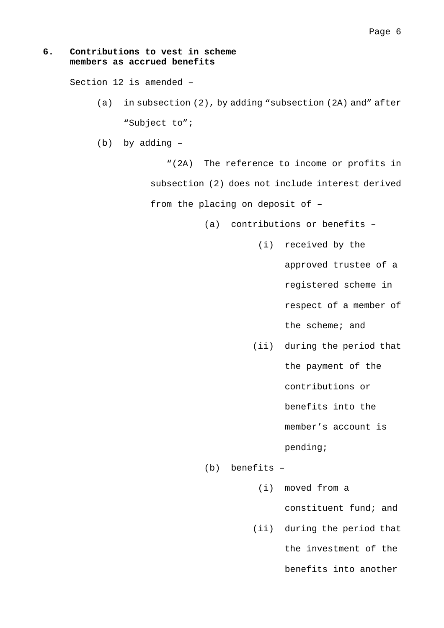## **6. Contributions to vest in scheme members as accrued benefits**

Section 12 is amended –

- (a) in subsection (2), by adding "subsection (2A) and" after "Subject to";
- (b) by adding –

"(2A) The reference to income or profits in subsection (2) does not include interest derived from the placing on deposit of –

(a) contributions or benefits –

(i) received by the

approved trustee of a

registered scheme in

respect of a member of

the scheme; and

(ii) during the period that

the payment of the

contributions or

benefits into the

member's account is

pending;

(b) benefits –

(i) moved from a

constituent fund; and

(ii) during the period that

the investment of the

benefits into another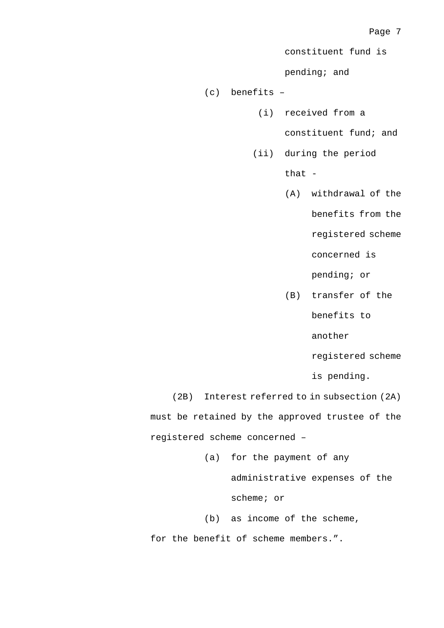constituent fund is

pending; and

(c) benefits –

(i) received from a

constituent fund; and

(ii) during the period

that -

(A) withdrawal of the benefits from the

registered scheme

concerned is

pending; or

(B) transfer of the benefits to

another

registered scheme

is pending.

(2B) Interest referred to in subsection (2A) must be retained by the approved trustee of the registered scheme concerned –

(a) for the payment of any

administrative expenses of the

scheme; or

(b) as income of the scheme,

for the benefit of scheme members.".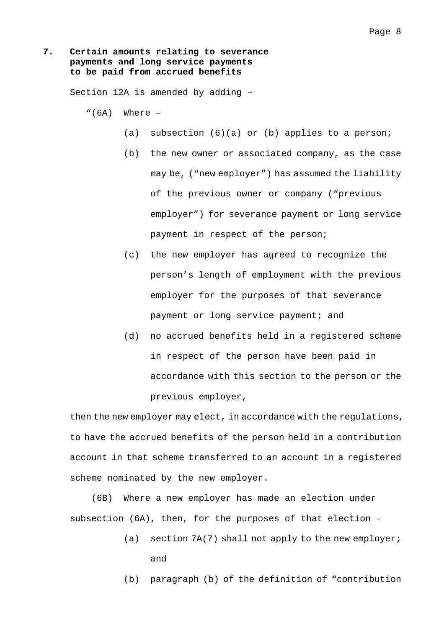## **7. Certain amounts relating to severance payments and long service payments to be paid from accrued benefits**

Section 12A is amended by adding –

- $"(6A)$  Where  $-$ 
	- (a) subsection (6)(a) or (b) applies to a person;
	- (b) the new owner or associated company, as the case may be, ("new employer") has assumed the liability of the previous owner or company ("previous employer") for severance payment or long service payment in respect of the person;
	- (c) the new employer has agreed to recognize the person's length of employment with the previous employer for the purposes of that severance payment or long service payment; and
	- (d) no accrued benefits held in a registered scheme in respect of the person have been paid in accordance with this section to the person or the previous employer,

then the new employer may elect, in accordance with the regulations, to have the accrued benefits of the person held in a contribution account in that scheme transferred to an account in a registered scheme nominated by the new employer.

(6B) Where a new employer has made an election under subsection (6A), then, for the purposes of that election –

- (a) section 7A(7) shall not apply to the new employer; and
- (b) paragraph (b) of the definition of "contribution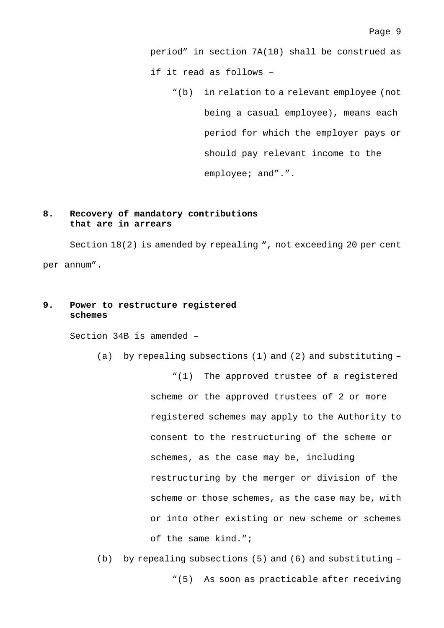period" in section 7A(10) shall be construed as if it read as follows –

"(b) in relation to a relevant employee (not being a casual employee), means each period for which the employer pays or should pay relevant income to the employee; and".".

## **8. Recovery of mandatory contributions that are in arrears**

Section 18(2) is amended by repealing ", not exceeding 20 per cent per annum".

## **9. Power to restructure registered schemes**

Section 34B is amended –

(a) by repealing subsections (1) and (2) and substituting –

"(1) The approved trustee of a registered scheme or the approved trustees of 2 or more registered schemes may apply to the Authority to consent to the restructuring of the scheme or schemes, as the case may be, including restructuring by the merger or division of the scheme or those schemes, as the case may be, with or into other existing or new scheme or schemes of the same kind.";

(b) by repealing subsections (5) and (6) and substituting – "(5) As soon as practicable after receiving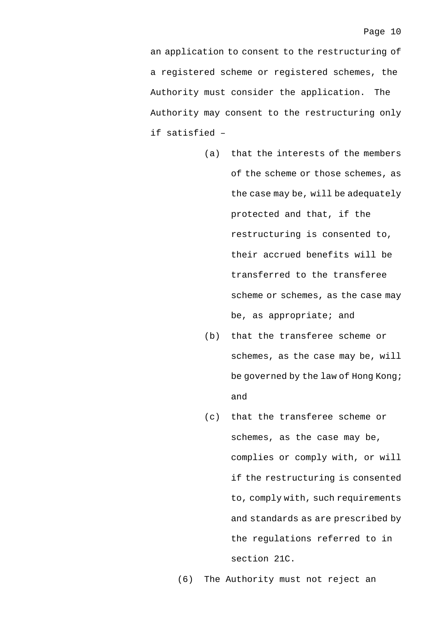an application to consent to the restructuring of a registered scheme or registered schemes, the Authority must consider the application. The Authority may consent to the restructuring only if satisfied –

- (a) that the interests of the members of the scheme or those schemes, as the case may be, will be adequately protected and that, if the restructuring is consented to, their accrued benefits will be transferred to the transferee scheme or schemes, as the case may be, as appropriate; and
- (b) that the transferee scheme or schemes, as the case may be, will be governed by the law of Hong Kong; and
- (c) that the transferee scheme or schemes, as the case may be, complies or comply with, or will if the restructuring is consented to, comply with, such requirements and standards as are prescribed by the regulations referred to in section 21C.

(6) The Authority must not reject an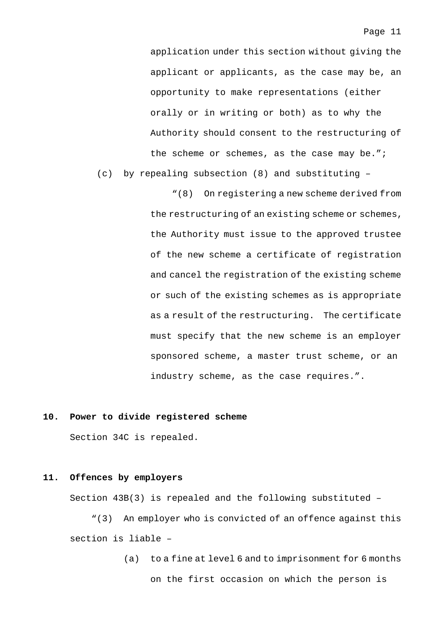application under this section without giving the applicant or applicants, as the case may be, an opportunity to make representations (either orally or in writing or both) as to why the Authority should consent to the restructuring of the scheme or schemes, as the case may be.";

(c) by repealing subsection (8) and substituting –

"(8) On registering a new scheme derived from the restructuring of an existing scheme or schemes, the Authority must issue to the approved trustee of the new scheme a certificate of registration and cancel the registration of the existing scheme or such of the existing schemes as is appropriate as a result of the restructuring. The certificate must specify that the new scheme is an employer sponsored scheme, a master trust scheme, or an industry scheme, as the case requires.".

### **10. Power to divide registered scheme**

Section 34C is repealed.

### **11. Offences by employers**

Section 43B(3) is repealed and the following substituted –

"(3) An employer who is convicted of an offence against this section is liable –

> (a) to a fine at level 6 and to imprisonment for 6 months on the first occasion on which the person is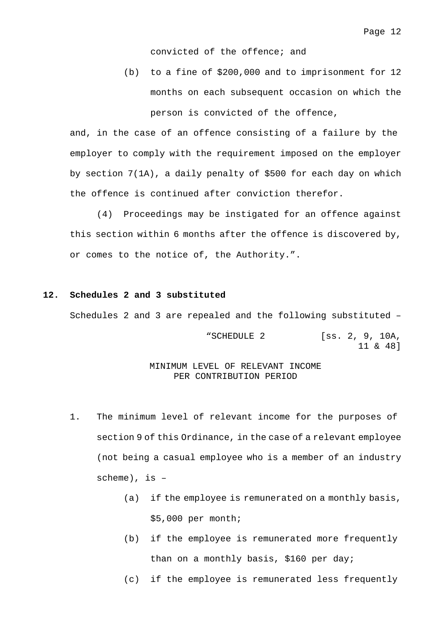convicted of the offence; and

(b) to a fine of \$200,000 and to imprisonment for 12 months on each subsequent occasion on which the person is convicted of the offence,

and, in the case of an offence consisting of a failure by the employer to comply with the requirement imposed on the employer by section 7(1A), a daily penalty of \$500 for each day on which the offence is continued after conviction therefor.

(4) Proceedings may be instigated for an offence against this section within 6 months after the offence is discovered by, or comes to the notice of, the Authority.".

### **12. Schedules 2 and 3 substituted**

Schedules 2 and 3 are repealed and the following substituted –

"SCHEDULE 2 [ss. 2, 9, 10A, 11 & 48]

### MINIMUM LEVEL OF RELEVANT INCOME PER CONTRIBUTION PERIOD

- 1. The minimum level of relevant income for the purposes of section 9 of this Ordinance, in the case of a relevant employee (not being a casual employee who is a member of an industry scheme), is –
	- (a) if the employee is remunerated on a monthly basis, \$5,000 per month;
	- (b) if the employee is remunerated more frequently than on a monthly basis, \$160 per day;
	- (c) if the employee is remunerated less frequently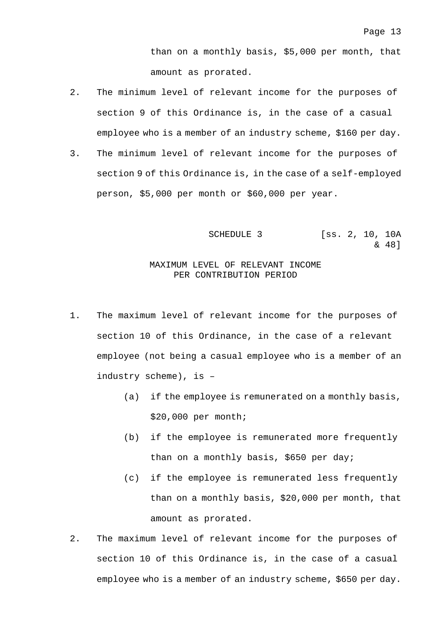than on a monthly basis, \$5,000 per month, that amount as prorated.

- 2. The minimum level of relevant income for the purposes of section 9 of this Ordinance is, in the case of a casual employee who is a member of an industry scheme, \$160 per day.
- 3. The minimum level of relevant income for the purposes of section 9 of this Ordinance is, in the case of a self-employed person, \$5,000 per month or \$60,000 per year.

SCHEDULE 3 [SS. 2, 10, 10A & 48]

## MAXIMUM LEVEL OF RELEVANT INCOME PER CONTRIBUTION PERIOD

- 1. The maximum level of relevant income for the purposes of section 10 of this Ordinance, in the case of a relevant employee (not being a casual employee who is a member of an industry scheme), is –
	- (a) if the employee is remunerated on a monthly basis, \$20,000 per month;
	- (b) if the employee is remunerated more frequently than on a monthly basis, \$650 per day;
	- (c) if the employee is remunerated less frequently than on a monthly basis, \$20,000 per month, that amount as prorated.
- 2. The maximum level of relevant income for the purposes of section 10 of this Ordinance is, in the case of a casual employee who is a member of an industry scheme, \$650 per day.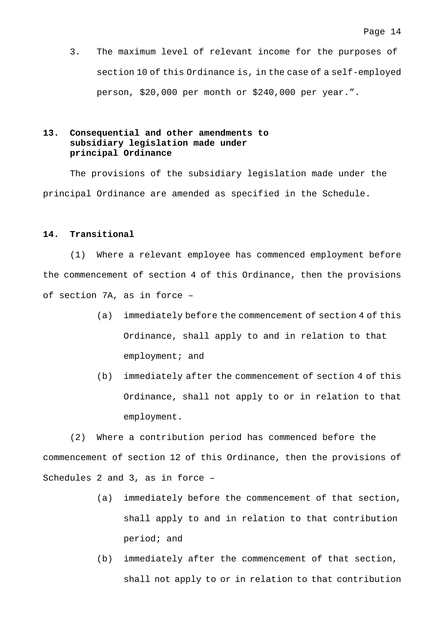3. The maximum level of relevant income for the purposes of section 10 of this Ordinance is, in the case of a self-employed person, \$20,000 per month or \$240,000 per year.".

## **13. Consequential and other amendments to subsidiary legislation made under principal Ordinance**

The provisions of the subsidiary legislation made under the principal Ordinance are amended as specified in the Schedule.

### **14. Transitional**

(1) Where a relevant employee has commenced employment before the commencement of section 4 of this Ordinance, then the provisions of section 7A, as in force –

- (a) immediately before the commencement of section 4 of this Ordinance, shall apply to and in relation to that employment; and
- (b) immediately after the commencement of section 4 of this Ordinance, shall not apply to or in relation to that employment.

(2) Where a contribution period has commenced before the commencement of section 12 of this Ordinance, then the provisions of Schedules 2 and 3, as in force –

- (a) immediately before the commencement of that section, shall apply to and in relation to that contribution period; and
- (b) immediately after the commencement of that section, shall not apply to or in relation to that contribution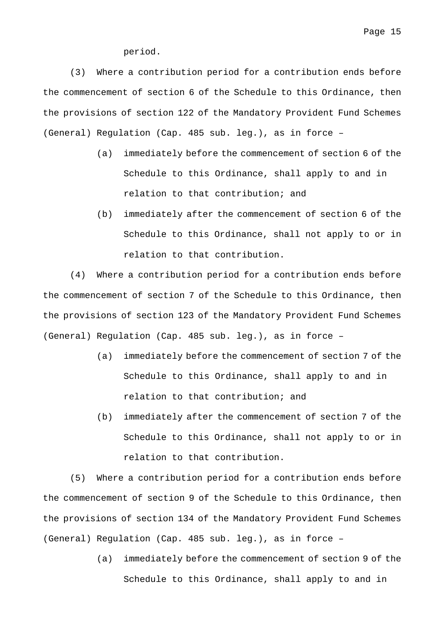period.

(3) Where a contribution period for a contribution ends before the commencement of section 6 of the Schedule to this Ordinance, then the provisions of section 122 of the Mandatory Provident Fund Schemes (General) Regulation (Cap. 485 sub. leg.), as in force –

- (a) immediately before the commencement of section 6 of the Schedule to this Ordinance, shall apply to and in relation to that contribution; and
- (b) immediately after the commencement of section 6 of the Schedule to this Ordinance, shall not apply to or in relation to that contribution.

(4) Where a contribution period for a contribution ends before the commencement of section 7 of the Schedule to this Ordinance, then the provisions of section 123 of the Mandatory Provident Fund Schemes (General) Regulation (Cap. 485 sub. leg.), as in force –

- (a) immediately before the commencement of section 7 of the Schedule to this Ordinance, shall apply to and in relation to that contribution; and
- (b) immediately after the commencement of section 7 of the Schedule to this Ordinance, shall not apply to or in relation to that contribution.

(5) Where a contribution period for a contribution ends before the commencement of section 9 of the Schedule to this Ordinance, then the provisions of section 134 of the Mandatory Provident Fund Schemes (General) Regulation (Cap. 485 sub. leg.), as in force –

> (a) immediately before the commencement of section 9 of the Schedule to this Ordinance, shall apply to and in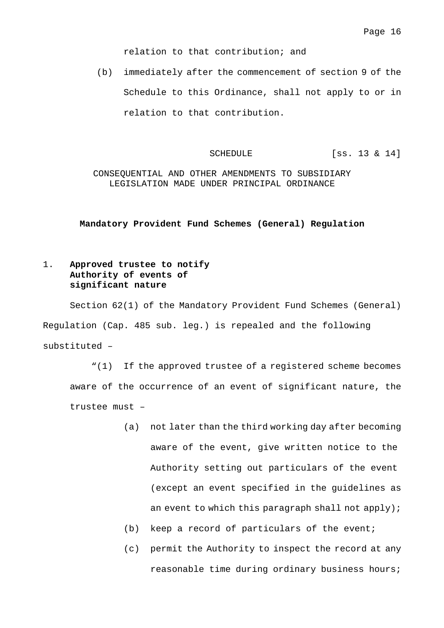relation to that contribution; and

(b) immediately after the commencement of section 9 of the Schedule to this Ordinance, shall not apply to or in relation to that contribution.

SCHEDULE [SS. 13 & 14]

CONSEQUENTIAL AND OTHER AMENDMENTS TO SUBSIDIARY LEGISLATION MADE UNDER PRINCIPAL ORDINANCE

### **Mandatory Provident Fund Schemes (General) Regulation**

## 1. **Approved trustee to notify Authority of events of significant nature**

Section 62(1) of the Mandatory Provident Fund Schemes (General) Regulation (Cap. 485 sub. leg.) is repealed and the following substituted –

"(1) If the approved trustee of a registered scheme becomes aware of the occurrence of an event of significant nature, the trustee must –

- (a) not later than the third working day after becoming aware of the event, give written notice to the Authority setting out particulars of the event (except an event specified in the guidelines as an event to which this paragraph shall not apply);
- (b) keep a record of particulars of the event;
- (c) permit the Authority to inspect the record at any reasonable time during ordinary business hours;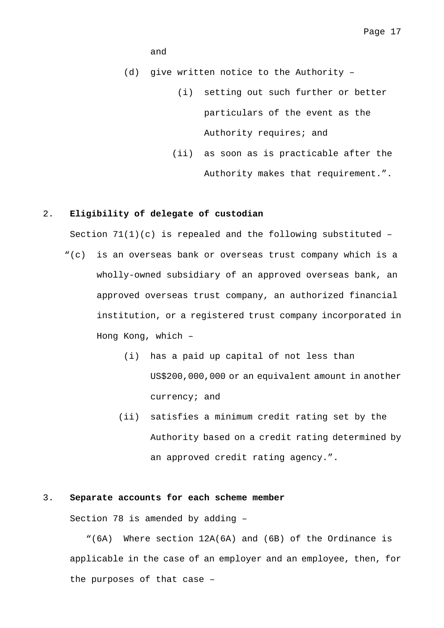### and

(d) give written notice to the Authority –

- (i) setting out such further or better particulars of the event as the Authority requires; and
- (ii) as soon as is practicable after the Authority makes that requirement.".

### 2. **Eligibility of delegate of custodian**

Section  $71(1)(c)$  is repealed and the following substituted -

- "(c) is an overseas bank or overseas trust company which is a wholly-owned subsidiary of an approved overseas bank, an approved overseas trust company, an authorized financial institution, or a registered trust company incorporated in Hong Kong, which –
	- (i) has a paid up capital of not less than US\$200,000,000 or an equivalent amount in another currency; and
	- (ii) satisfies a minimum credit rating set by the Authority based on a credit rating determined by an approved credit rating agency.".

## 3. **Separate accounts for each scheme member**

Section 78 is amended by adding –

"(6A) Where section 12A(6A) and (6B) of the Ordinance is applicable in the case of an employer and an employee, then, for the purposes of that case –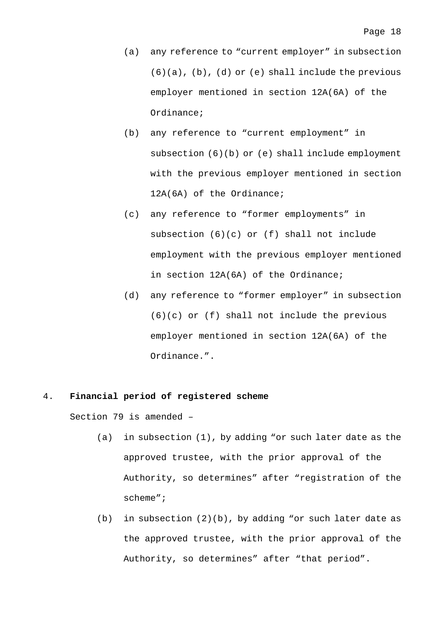- (a) any reference to "current employer" in subsection  $(6)(a)$ ,  $(b)$ ,  $(d)$  or  $(e)$  shall include the previous employer mentioned in section 12A(6A) of the Ordinance;
- (b) any reference to "current employment" in subsection (6)(b) or (e) shall include employment with the previous employer mentioned in section 12A(6A) of the Ordinance;
- (c) any reference to "former employments" in subsection (6)(c) or (f) shall not include employment with the previous employer mentioned in section 12A(6A) of the Ordinance;
- (d) any reference to "former employer" in subsection (6)(c) or (f) shall not include the previous employer mentioned in section 12A(6A) of the Ordinance.".

### 4. **Financial period of registered scheme**

Section 79 is amended –

- (a) in subsection (1), by adding "or such later date as the approved trustee, with the prior approval of the Authority, so determines" after "registration of the scheme";
- (b) in subsection  $(2)(b)$ , by adding "or such later date as the approved trustee, with the prior approval of the Authority, so determines" after "that period".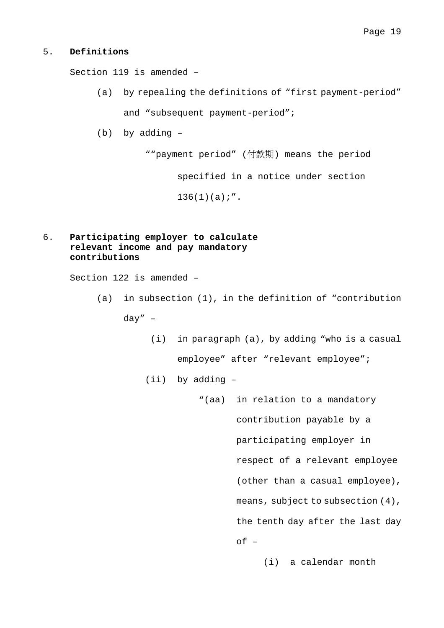### 5. **Definitions**

Section 119 is amended –

- (a) by repealing the definitions of "first payment-period" and "subsequent payment-period";
- (b) by adding –

""payment period" (付款期) means the period

specified in a notice under section

 $136(1)(a)$ ;".

## 6. **Participating employer to calculate relevant income and pay mandatory contributions**

Section 122 is amended –

- (a) in subsection (1), in the definition of "contribution day" –
	- (i) in paragraph (a), by adding "who is a casual employee" after "relevant employee";
	- (ii) by adding
		- "(aa) in relation to a mandatory contribution payable by a participating employer in respect of a relevant employee (other than a casual employee), means, subject to subsection (4), the tenth day after the last day of –

(i) a calendar month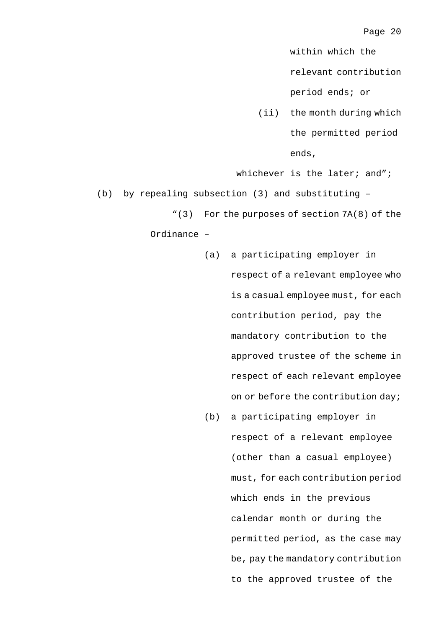within which the

relevant contribution

period ends; or

(ii) the month during which the permitted period ends,

whichever is the later; and";

(b) by repealing subsection (3) and substituting –

"(3) For the purposes of section 7A(8) of the

Ordinance –

- (a) a participating employer in respect of a relevant employee who is a casual employee must, for each contribution period, pay the mandatory contribution to the approved trustee of the scheme in respect of each relevant employee on or before the contribution day;
- (b) a participating employer in respect of a relevant employee (other than a casual employee) must, for each contribution period which ends in the previous calendar month or during the permitted period, as the case may be, pay the mandatory contribution to the approved trustee of the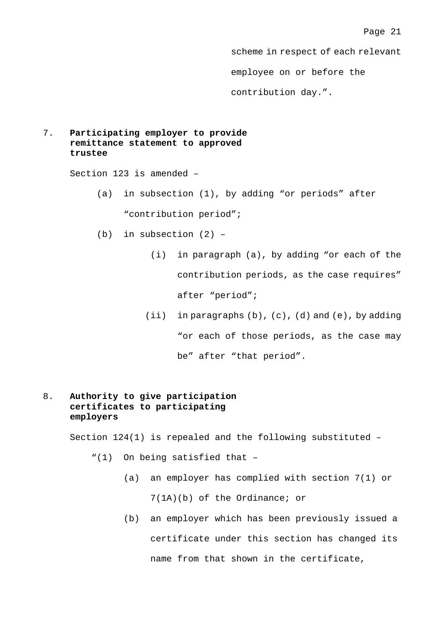scheme in respect of each relevant employee on or before the contribution day.".

## 7. **Participating employer to provide remittance statement to approved trustee**

Section 123 is amended –

- (a) in subsection (1), by adding "or periods" after "contribution period";
- (b) in subsection (2)
	- (i) in paragraph (a), by adding "or each of the contribution periods, as the case requires" after "period";
	- (ii) in paragraphs  $(b)$ ,  $(c)$ ,  $(d)$  and  $(e)$ , by adding "or each of those periods, as the case may be" after "that period".
- 8. **Authority to give participation certificates to participating employers**

Section 124(1) is repealed and the following substituted –

- "(1) On being satisfied that
	- (a) an employer has complied with section 7(1) or 7(1A)(b) of the Ordinance; or
	- (b) an employer which has been previously issued a certificate under this section has changed its name from that shown in the certificate,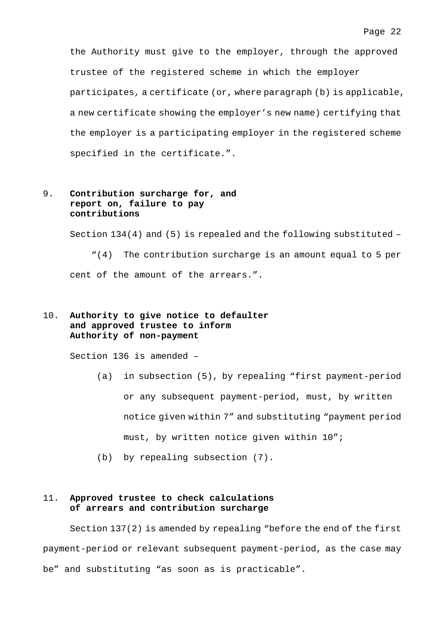the Authority must give to the employer, through the approved trustee of the registered scheme in which the employer participates, a certificate (or, where paragraph (b) is applicable, a new certificate showing the employer's new name) certifying that the employer is a participating employer in the registered scheme specified in the certificate.".

## 9. **Contribution surcharge for, and report on, failure to pay contributions**

Section  $134(4)$  and  $(5)$  is repealed and the following substituted -

"(4) The contribution surcharge is an amount equal to 5 per cent of the amount of the arrears.".

## 10. **Authority to give notice to defaulter and approved trustee to inform Authority of non-payment**

Section 136 is amended –

- (a) in subsection (5), by repealing "first payment-period or any subsequent payment-period, must, by written notice given within 7" and substituting "payment period must, by written notice given within 10";
- (b) by repealing subsection (7).

## 11. **Approved trustee to check calculations of arrears and contribution surcharge**

Section 137(2) is amended by repealing "before the end of the first payment-period or relevant subsequent payment-period, as the case may be" and substituting "as soon as is practicable".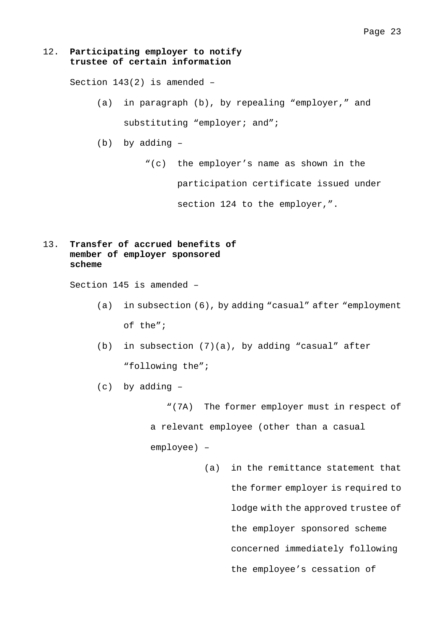### 12. **Participating employer to notify trustee of certain information**

Section 143(2) is amended –

- (a) in paragraph (b), by repealing "employer," and substituting "employer; and";
- (b) by adding
	- "(c) the employer's name as shown in the

participation certificate issued under

section 124 to the employer,".

## 13. **Transfer of accrued benefits of member of employer sponsored scheme**

Section 145 is amended –

- (a) in subsection (6), by adding "casual" after "employment of the";
- (b) in subsection (7)(a), by adding "casual" after "following the";
- (c) by adding –

"(7A) The former employer must in respect of a relevant employee (other than a casual employee) –

> (a) in the remittance statement that the former employer is required to lodge with the approved trustee of the employer sponsored scheme concerned immediately following the employee's cessation of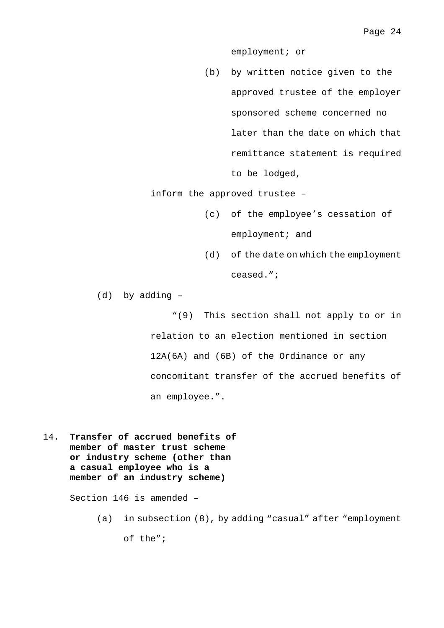employment; or

(b) by written notice given to the approved trustee of the employer sponsored scheme concerned no later than the date on which that remittance statement is required to be lodged,

inform the approved trustee –

- (c) of the employee's cessation of employment; and
- (d) of the date on which the employment ceased.";

(d) by adding –

"(9) This section shall not apply to or in relation to an election mentioned in section 12A(6A) and (6B) of the Ordinance or any concomitant transfer of the accrued benefits of an employee.".

14. **Transfer of accrued benefits of member of master trust scheme or industry scheme (other than a casual employee who is a member of an industry scheme)**

Section 146 is amended –

(a) in subsection (8), by adding "casual" after "employment

of the";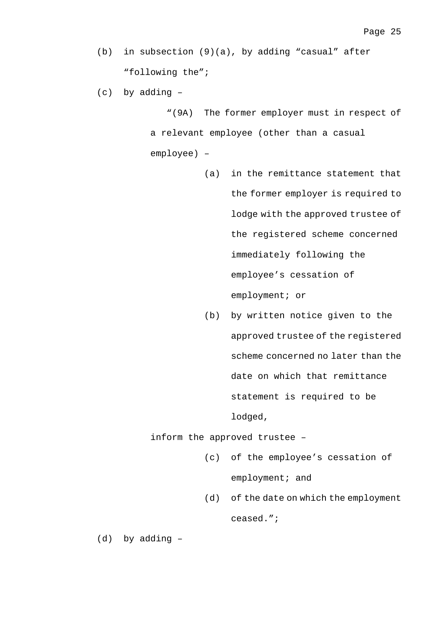- (b) in subsection (9)(a), by adding "casual" after "following the";
- (c) by adding –

"(9A) The former employer must in respect of a relevant employee (other than a casual employee) –

- (a) in the remittance statement that the former employer is required to lodge with the approved trustee of the registered scheme concerned immediately following the employee's cessation of employment; or
- (b) by written notice given to the approved trustee of the registered scheme concerned no later than the date on which that remittance statement is required to be lodged,

inform the approved trustee –

- (c) of the employee's cessation of employment; and
- (d) of the date on which the employment ceased.";

(d) by adding –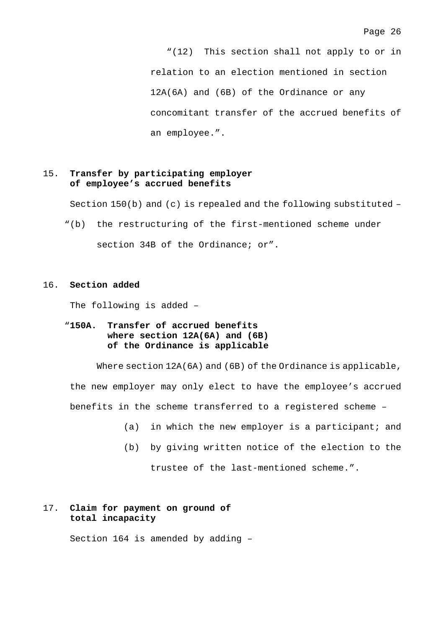"(12) This section shall not apply to or in relation to an election mentioned in section 12A(6A) and (6B) of the Ordinance or any concomitant transfer of the accrued benefits of an employee.".

## 15. **Transfer by participating employer of employee's accrued benefits**

Section  $150(b)$  and (c) is repealed and the following substituted -

"(b) the restructuring of the first-mentioned scheme under section 34B of the Ordinance; or".

### 16. **Section added**

The following is added –

## "**150A. Transfer of accrued benefits where section 12A(6A) and (6B) of the Ordinance is applicable**

Where section 12A(6A) and (6B) of the Ordinance is applicable, the new employer may only elect to have the employee's accrued benefits in the scheme transferred to a registered scheme –

- (a) in which the new employer is a participant; and
- (b) by giving written notice of the election to the

trustee of the last-mentioned scheme.".

## 17. **Claim for payment on ground of total incapacity**

Section 164 is amended by adding –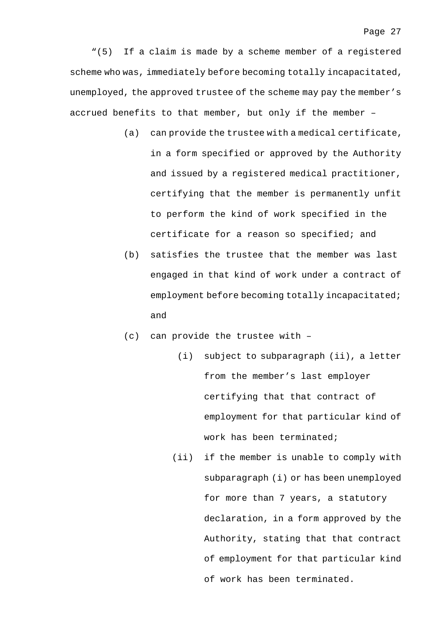"(5) If a claim is made by a scheme member of a registered scheme who was, immediately before becoming totally incapacitated, unemployed, the approved trustee of the scheme may pay the member's accrued benefits to that member, but only if the member –

- (a) can provide the trustee with a medical certificate, in a form specified or approved by the Authority and issued by a registered medical practitioner, certifying that the member is permanently unfit to perform the kind of work specified in the certificate for a reason so specified; and
- (b) satisfies the trustee that the member was last engaged in that kind of work under a contract of employment before becoming totally incapacitated; and
- (c) can provide the trustee with
	- (i) subject to subparagraph (ii), a letter from the member's last employer certifying that that contract of employment for that particular kind of work has been terminated;
	- (ii) if the member is unable to comply with subparagraph (i) or has been unemployed for more than 7 years, a statutory declaration, in a form approved by the Authority, stating that that contract of employment for that particular kind of work has been terminated.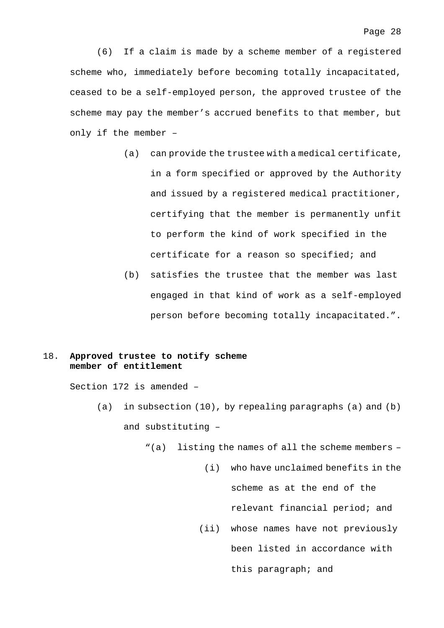(6) If a claim is made by a scheme member of a registered scheme who, immediately before becoming totally incapacitated, ceased to be a self-employed person, the approved trustee of the scheme may pay the member's accrued benefits to that member, but only if the member –

- (a) can provide the trustee with a medical certificate, in a form specified or approved by the Authority and issued by a registered medical practitioner, certifying that the member is permanently unfit to perform the kind of work specified in the certificate for a reason so specified; and
- (b) satisfies the trustee that the member was last engaged in that kind of work as a self-employed person before becoming totally incapacitated.".

## 18. **Approved trustee to notify scheme member of entitlement**

Section 172 is amended –

- (a) in subsection (10), by repealing paragraphs (a) and (b) and substituting –
	- "(a) listing the names of all the scheme members
		- (i) who have unclaimed benefits in the scheme as at the end of the relevant financial period; and (ii) whose names have not previously been listed in accordance with this paragraph; and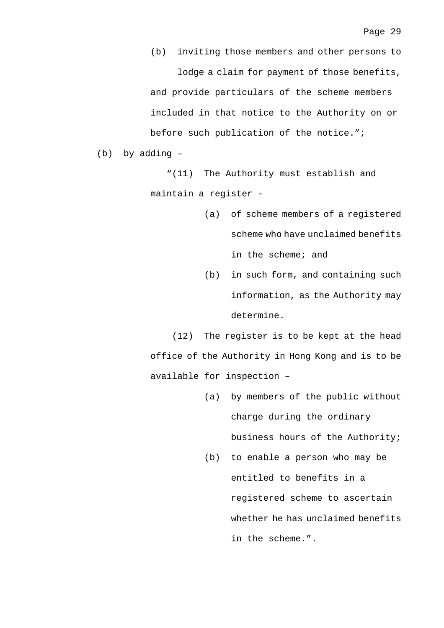(b) inviting those members and other persons to lodge a claim for payment of those benefits, and provide particulars of the scheme members included in that notice to the Authority on or before such publication of the notice.";

(b) by adding –

"(11) The Authority must establish and maintain a register -

- (a) of scheme members of a registered scheme who have unclaimed benefits in the scheme; and
- (b) in such form, and containing such information, as the Authority may determine.

(12) The register is to be kept at the head office of the Authority in Hong Kong and is to be available for inspection –

- (a) by members of the public without charge during the ordinary business hours of the Authority;
- (b) to enable a person who may be entitled to benefits in a registered scheme to ascertain whether he has unclaimed benefits in the scheme.".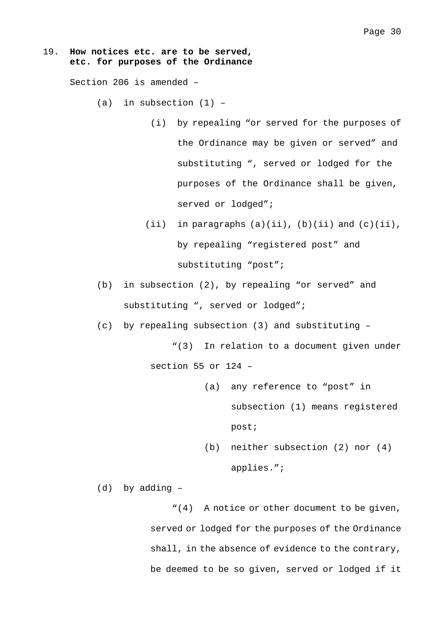## 19. **How notices etc. are to be served, etc. for purposes of the Ordinance**

Section 206 is amended –

 $(a)$  in subsection  $(1)$  -

- (i) by repealing "or served for the purposes of the Ordinance may be given or served" and substituting ", served or lodged for the purposes of the Ordinance shall be given, served or lodged";
- (ii) in paragraphs  $(a)(ii)$ ,  $(b)(ii)$  and  $(c)(ii)$ , by repealing "registered post" and substituting "post";
- (b) in subsection (2), by repealing "or served" and substituting ", served or lodged";
- (c) by repealing subsection (3) and substituting –

"(3) In relation to a document given under

section 55 or 124 –

- (a) any reference to "post" in subsection (1) means registered post;
- (b) neither subsection (2) nor (4) applies.";

(d) by adding –

"(4) A notice or other document to be given, served or lodged for the purposes of the Ordinance shall, in the absence of evidence to the contrary, be deemed to be so given, served or lodged if it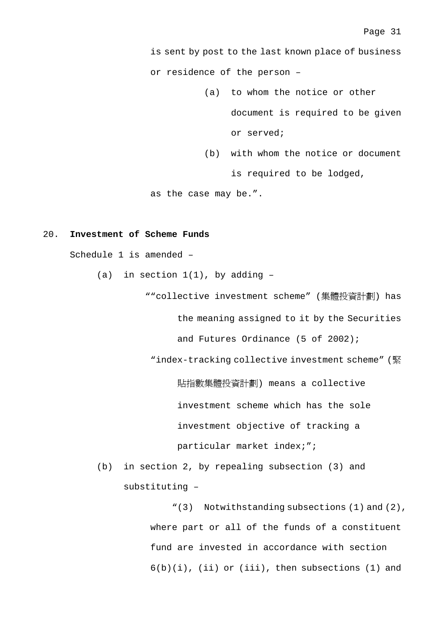is sent by post to the last known place of business or residence of the person –

- (a) to whom the notice or other document is required to be given or served;
- (b) with whom the notice or document is required to be lodged,

as the case may be.".

### 20. **Investment of Scheme Funds**

Schedule 1 is amended –

(a) in section  $1(1)$ , by adding -

""collective investment scheme" (集體投資計劃) has

the meaning assigned to it by the Securities

and Futures Ordinance (5 of 2002);

"index-tracking collective investment scheme" (緊

貼指數集體投資計劃) means a collective

investment scheme which has the sole

investment objective of tracking a

particular market index;";

(b) in section 2, by repealing subsection (3) and substituting –

> "(3) Notwithstanding subsections (1) and (2), where part or all of the funds of a constituent fund are invested in accordance with section  $6(b)(i)$ , (ii) or (iii), then subsections (1) and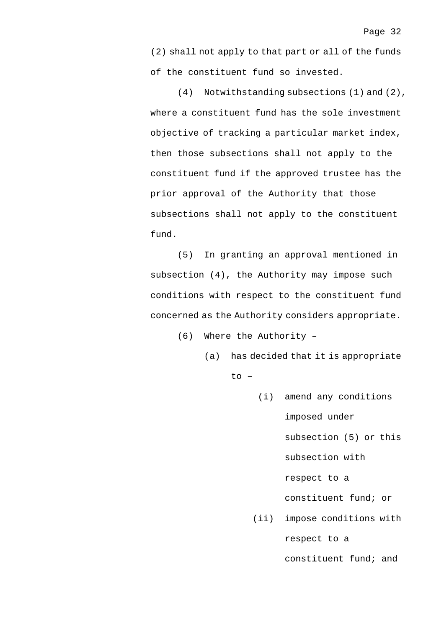(2) shall not apply to that part or all of the funds of the constituent fund so invested.

(4) Notwithstanding subsections (1) and (2), where a constituent fund has the sole investment objective of tracking a particular market index, then those subsections shall not apply to the constituent fund if the approved trustee has the prior approval of the Authority that those subsections shall not apply to the constituent fund.

(5) In granting an approval mentioned in subsection (4), the Authority may impose such conditions with respect to the constituent fund concerned as the Authority considers appropriate.

(6) Where the Authority –

(a) has decided that it is appropriate to –

> (i) amend any conditions imposed under subsection (5) or this subsection with respect to a constituent fund; or (ii) impose conditions with respect to a

> > constituent fund; and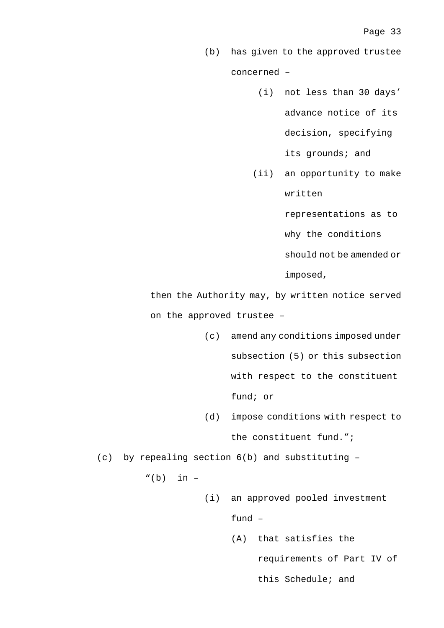- (b) has given to the approved trustee concerned –
	- (i) not less than 30 days' advance notice of its decision, specifying its grounds; and
	- (ii) an opportunity to make written

representations as to

why the conditions

should not be amended or

imposed,

then the Authority may, by written notice served on the approved trustee –

- (c) amend any conditions imposed under subsection (5) or this subsection with respect to the constituent fund; or
- (d) impose conditions with respect to the constituent fund.";

(c) by repealing section 6(b) and substituting –

 $"(b)$  in  $-$ 

(i) an approved pooled investment fund –

> (A) that satisfies the requirements of Part IV of this Schedule; and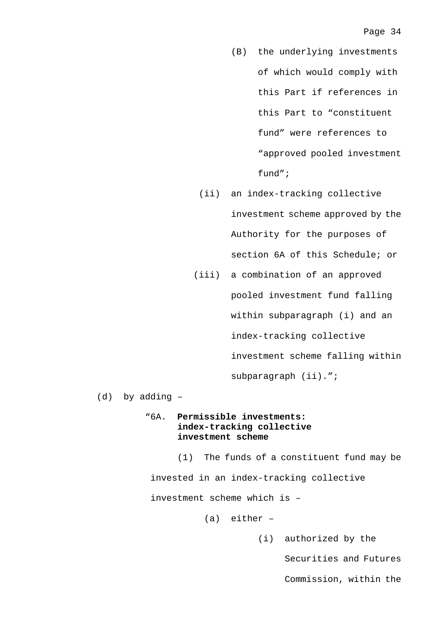- (B) the underlying investments of which would comply with this Part if references in this Part to "constituent fund" were references to "approved pooled investment fund";
- (ii) an index-tracking collective investment scheme approved by the Authority for the purposes of section 6A of this Schedule; or
- (iii) a combination of an approved pooled investment fund falling within subparagraph (i) and an index-tracking collective investment scheme falling within subparagraph (ii).";

(d) by adding –

## "6A. **Permissible investments: index-tracking collective investment scheme**

(1) The funds of a constituent fund may be invested in an index-tracking collective investment scheme which is –

(a) either –

(i) authorized by the

Securities and Futures

Commission, within the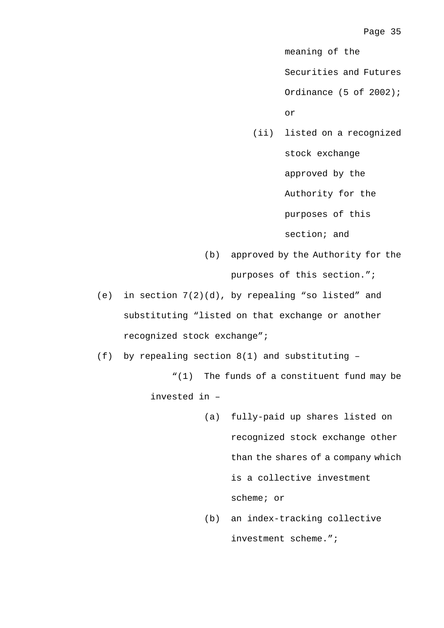meaning of the

Securities and Futures

Ordinance (5 of 2002);

or

(ii) listed on a recognized stock exchange approved by the Authority for the purposes of this

section; and

(b) approved by the Authority for the

purposes of this section.";

(e) in section 7(2)(d), by repealing "so listed" and substituting "listed on that exchange or another recognized stock exchange";

(f) by repealing section 8(1) and substituting –

"(1) The funds of a constituent fund may be invested in –

- (a) fully-paid up shares listed on recognized stock exchange other than the shares of a company which is a collective investment scheme; or
- (b) an index-tracking collective investment scheme.";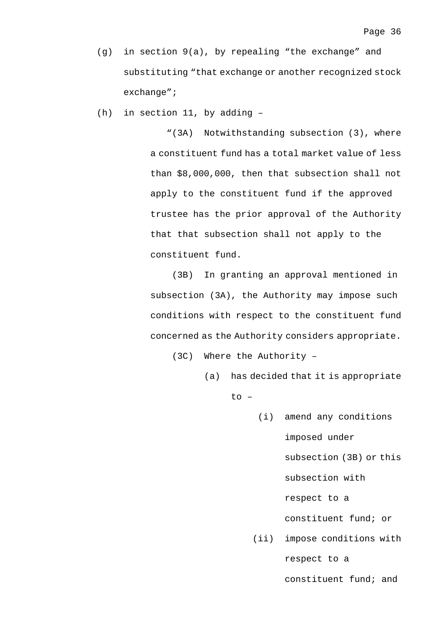(g) in section 9(a), by repealing "the exchange" and substituting "that exchange or another recognized stock exchange";

(h) in section 11, by adding –

"(3A) Notwithstanding subsection (3), where a constituent fund has a total market value of less than \$8,000,000, then that subsection shall not apply to the constituent fund if the approved trustee has the prior approval of the Authority that that subsection shall not apply to the constituent fund.

(3B) In granting an approval mentioned in subsection (3A), the Authority may impose such conditions with respect to the constituent fund concerned as the Authority considers appropriate.

(3C) Where the Authority –

(a) has decided that it is appropriate to –

> (i) amend any conditions imposed under subsection (3B) or this subsection with respect to a constituent fund; or (ii) impose conditions with

> > respect to a

constituent fund; and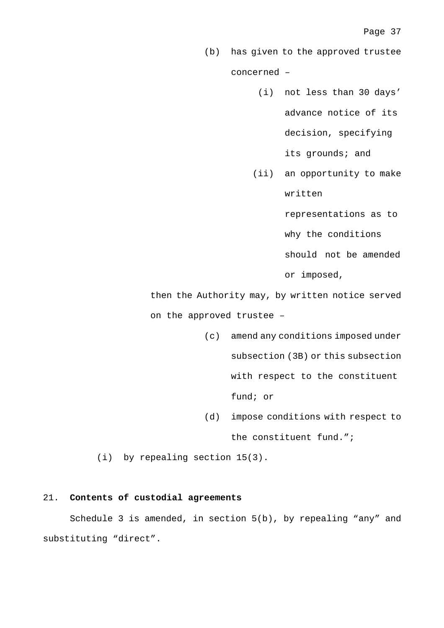- (b) has given to the approved trustee concerned –
	- (i) not less than 30 days' advance notice of its decision, specifying its grounds; and
	- (ii) an opportunity to make written

representations as to

why the conditions

should not be amended

or imposed,

then the Authority may, by written notice served on the approved trustee –

- (c) amend any conditions imposed under subsection (3B) or this subsection with respect to the constituent fund; or
- (d) impose conditions with respect to the constituent fund.";

(i) by repealing section 15(3).

### 21. **Contents of custodial agreements**

Schedule 3 is amended, in section 5(b), by repealing "any" and substituting "direct".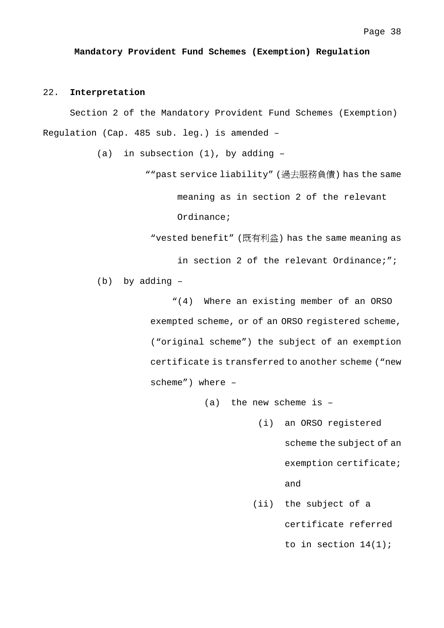**Mandatory Provident Fund Schemes (Exemption) Regulation**

### 22. **Interpretation**

Section 2 of the Mandatory Provident Fund Schemes (Exemption) Regulation (Cap. 485 sub. leg.) is amended –

(a) in subsection  $(1)$ , by adding  $-$ 

""past service liability" (過去服務負債) has the same

meaning as in section 2 of the relevant

Ordinance;

"vested benefit" (既有利益) has the same meaning as

in section 2 of the relevant Ordinance;";

(b) by adding –

"(4) Where an existing member of an ORSO exempted scheme, or of an ORSO registered scheme, ("original scheme") the subject of an exemption certificate is transferred to another scheme ("new scheme") where –

(a) the new scheme is  $-$ 

(i) an ORSO registered scheme the subject of an exemption certificate;

### and

(ii) the subject of a

certificate referred

to in section 14(1);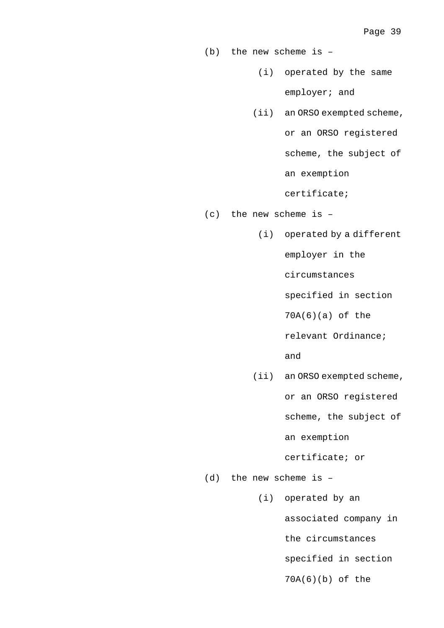(b) the new scheme is –

- (i) operated by the same employer; and
- (ii) an ORSO exempted scheme,

or an ORSO registered

scheme, the subject of

an exemption

certificate;

(c) the new scheme is –

(i) operated by a different

employer in the

circumstances

specified in section

70A(6)(a) of the

relevant Ordinance;

and

(ii) an ORSO exempted scheme,

or an ORSO registered

scheme, the subject of

an exemption

certificate; or

(d) the new scheme is –

(i) operated by an associated company in

the circumstances

specified in section

70A(6)(b) of the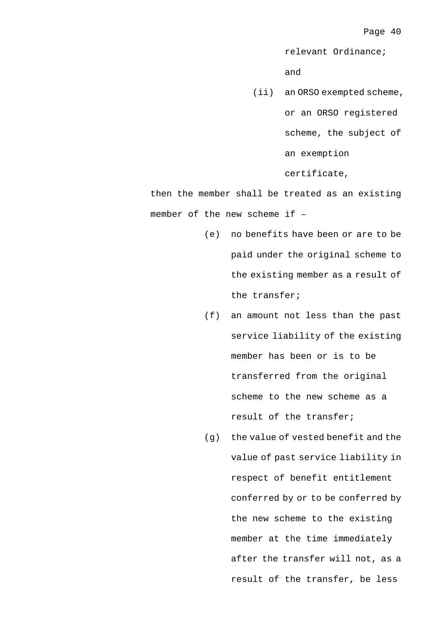relevant Ordinance;

and

(ii) an ORSO exempted scheme, or an ORSO registered scheme, the subject of an exemption certificate,

then the member shall be treated as an existing member of the new scheme if –

- (e) no benefits have been or are to be paid under the original scheme to the existing member as a result of the transfer;
- (f) an amount not less than the past service liability of the existing member has been or is to be transferred from the original scheme to the new scheme as a result of the transfer;
- (g) the value of vested benefit and the value of past service liability in respect of benefit entitlement conferred by or to be conferred by the new scheme to the existing member at the time immediately after the transfer will not, as a result of the transfer, be less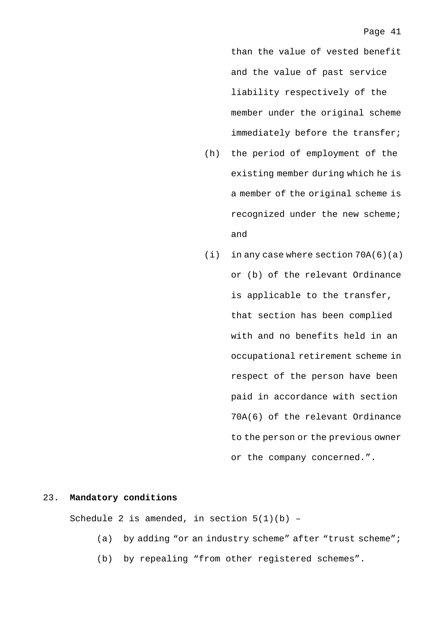than the value of vested benefit and the value of past service liability respectively of the member under the original scheme immediately before the transfer;

- (h) the period of employment of the existing member during which he is a member of the original scheme is recognized under the new scheme; and
- (i) in any case where section 70A(6)(a) or (b) of the relevant Ordinance is applicable to the transfer, that section has been complied with and no benefits held in an occupational retirement scheme in respect of the person have been paid in accordance with section 70A(6) of the relevant Ordinance to the person or the previous owner or the company concerned.".

### 23. **Mandatory conditions**

Schedule 2 is amended, in section  $5(1)(b)$  -

- (a) by adding "or an industry scheme" after "trust scheme";
- (b) by repealing "from other registered schemes".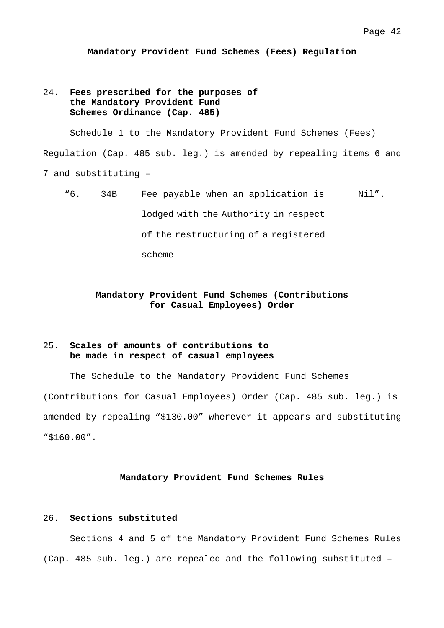**Mandatory Provident Fund Schemes (Fees) Regulation**

## 24. **Fees prescribed for the purposes of the Mandatory Provident Fund Schemes Ordinance (Cap. 485)**

Schedule 1 to the Mandatory Provident Fund Schemes (Fees) Regulation (Cap. 485 sub. leg.) is amended by repealing items 6 and 7 and substituting –

"6. 34B Fee payable when an application is lodged with the Authority in respect of the restructuring of a registered scheme Nil".

## **Mandatory Provident Fund Schemes (Contributions for Casual Employees) Order**

## 25. **Scales of amounts of contributions to be made in respect of casual employees**

The Schedule to the Mandatory Provident Fund Schemes (Contributions for Casual Employees) Order (Cap. 485 sub. leg.) is amended by repealing "\$130.00" wherever it appears and substituting "\$160.00".

### **Mandatory Provident Fund Schemes Rules**

## 26. **Sections substituted**

Sections 4 and 5 of the Mandatory Provident Fund Schemes Rules (Cap. 485 sub. leg.) are repealed and the following substituted –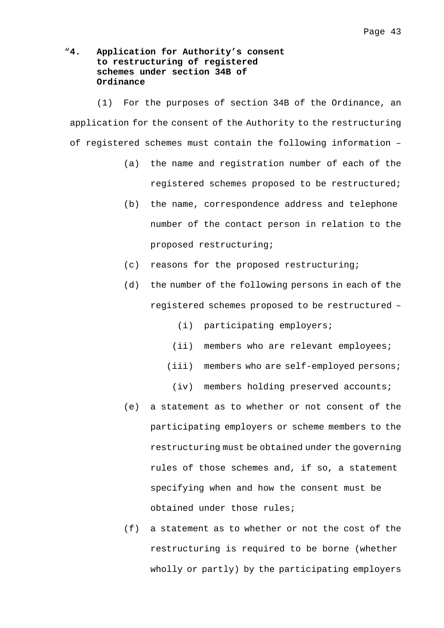## "**4. Application for Authority's consent to restructuring of registered schemes under section 34B of Ordinance**

(1) For the purposes of section 34B of the Ordinance, an application for the consent of the Authority to the restructuring of registered schemes must contain the following information –

- (a) the name and registration number of each of the registered schemes proposed to be restructured;
- (b) the name, correspondence address and telephone number of the contact person in relation to the proposed restructuring;
- (c) reasons for the proposed restructuring;
- (d) the number of the following persons in each of the registered schemes proposed to be restructured –
	- (i) participating employers;
	- (ii) members who are relevant employees;
	- (iii) members who are self-employed persons;
	- (iv) members holding preserved accounts;
- (e) a statement as to whether or not consent of the participating employers or scheme members to the restructuring must be obtained under the governing rules of those schemes and, if so, a statement specifying when and how the consent must be obtained under those rules;
- (f) a statement as to whether or not the cost of the restructuring is required to be borne (whether wholly or partly) by the participating employers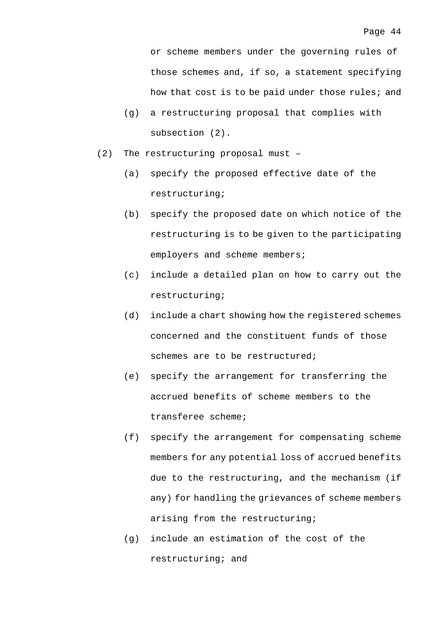or scheme members under the governing rules of those schemes and, if so, a statement specifying how that cost is to be paid under those rules; and

- (g) a restructuring proposal that complies with subsection (2).
- (2) The restructuring proposal must
	- (a) specify the proposed effective date of the restructuring;
	- (b) specify the proposed date on which notice of the restructuring is to be given to the participating employers and scheme members;
	- (c) include a detailed plan on how to carry out the restructuring;
	- (d) include a chart showing how the registered schemes concerned and the constituent funds of those schemes are to be restructured;
	- (e) specify the arrangement for transferring the accrued benefits of scheme members to the transferee scheme;
	- (f) specify the arrangement for compensating scheme members for any potential loss of accrued benefits due to the restructuring, and the mechanism (if any) for handling the grievances of scheme members arising from the restructuring;
	- (g) include an estimation of the cost of the restructuring; and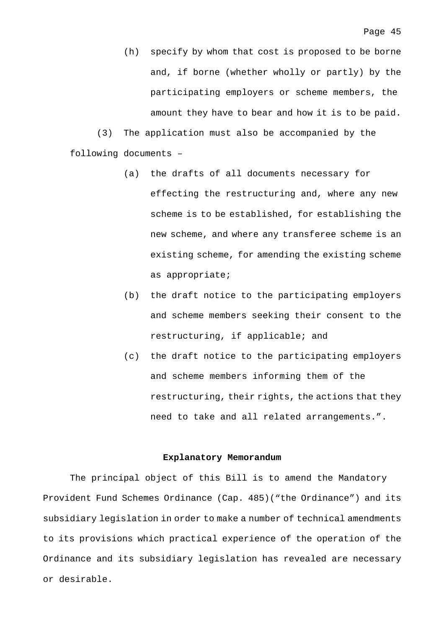(h) specify by whom that cost is proposed to be borne and, if borne (whether wholly or partly) by the participating employers or scheme members, the amount they have to bear and how it is to be paid.

(3) The application must also be accompanied by the following documents –

- (a) the drafts of all documents necessary for effecting the restructuring and, where any new scheme is to be established, for establishing the new scheme, and where any transferee scheme is an existing scheme, for amending the existing scheme as appropriate;
- (b) the draft notice to the participating employers and scheme members seeking their consent to the restructuring, if applicable; and
- (c) the draft notice to the participating employers and scheme members informing them of the restructuring, their rights, the actions that they need to take and all related arrangements.".

### **Explanatory Memorandum**

The principal object of this Bill is to amend the Mandatory Provident Fund Schemes Ordinance (Cap. 485)("the Ordinance") and its subsidiary legislation in order to make a number of technical amendments to its provisions which practical experience of the operation of the Ordinance and its subsidiary legislation has revealed are necessary or desirable.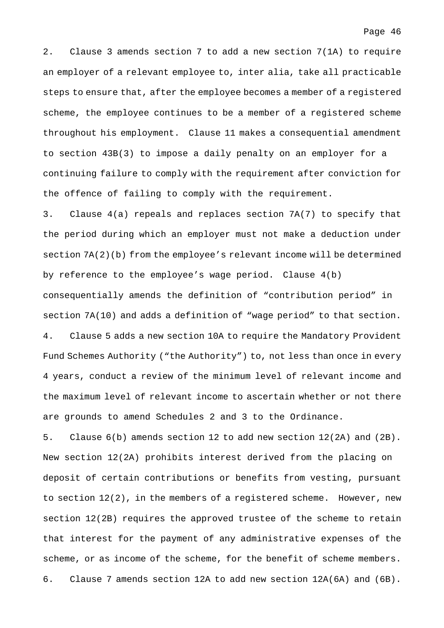2. Clause 3 amends section 7 to add a new section 7(1A) to require an employer of a relevant employee to, inter alia, take all practicable steps to ensure that, after the employee becomes a member of a registered scheme, the employee continues to be a member of a registered scheme throughout his employment. Clause 11 makes a consequential amendment to section 43B(3) to impose a daily penalty on an employer for a continuing failure to comply with the requirement after conviction for the offence of failing to comply with the requirement.

3. Clause 4(a) repeals and replaces section 7A(7) to specify that the period during which an employer must not make a deduction under section 7A(2)(b) from the employee's relevant income will be determined by reference to the employee's wage period. Clause 4(b) consequentially amends the definition of "contribution period" in section 7A(10) and adds a definition of "wage period" to that section. 4. Clause 5 adds a new section 10A to require the Mandatory Provident Fund Schemes Authority ("the Authority") to, not less than once in every 4 years, conduct a review of the minimum level of relevant income and the maximum level of relevant income to ascertain whether or not there are grounds to amend Schedules 2 and 3 to the Ordinance.

5. Clause 6(b) amends section 12 to add new section 12(2A) and (2B). New section 12(2A) prohibits interest derived from the placing on deposit of certain contributions or benefits from vesting, pursuant to section  $12(2)$ , in the members of a registered scheme. However, new section 12(2B) requires the approved trustee of the scheme to retain that interest for the payment of any administrative expenses of the scheme, or as income of the scheme, for the benefit of scheme members. 6. Clause 7 amends section 12A to add new section 12A(6A) and (6B).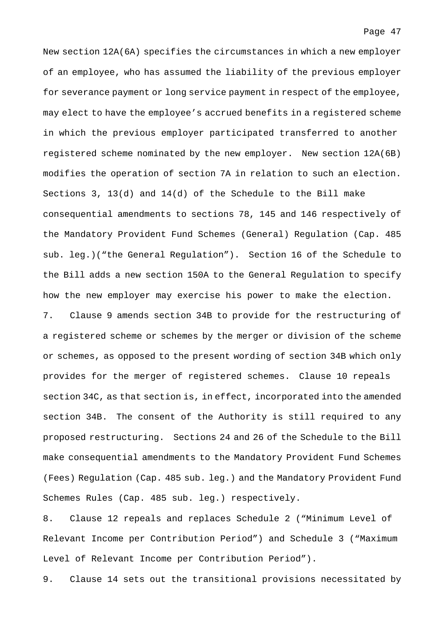New section 12A(6A) specifies the circumstances in which a new employer of an employee, who has assumed the liability of the previous employer for severance payment or long service payment in respect of the employee, may elect to have the employee's accrued benefits in a registered scheme in which the previous employer participated transferred to another registered scheme nominated by the new employer. New section 12A(6B) modifies the operation of section 7A in relation to such an election. Sections 3, 13(d) and 14(d) of the Schedule to the Bill make consequential amendments to sections 78, 145 and 146 respectively of the Mandatory Provident Fund Schemes (General) Regulation (Cap. 485 sub. leg.)("the General Regulation"). Section 16 of the Schedule to the Bill adds a new section 150A to the General Regulation to specify how the new employer may exercise his power to make the election. 7. Clause 9 amends section 34B to provide for the restructuring of a registered scheme or schemes by the merger or division of the scheme or schemes, as opposed to the present wording of section 34B which only

provides for the merger of registered schemes. Clause 10 repeals section 34C, as that section is, in effect, incorporated into the amended section 34B. The consent of the Authority is still required to any proposed restructuring. Sections 24 and 26 of the Schedule to the Bill make consequential amendments to the Mandatory Provident Fund Schemes (Fees) Regulation (Cap. 485 sub. leg.) and the Mandatory Provident Fund Schemes Rules (Cap. 485 sub. leg.) respectively.

8. Clause 12 repeals and replaces Schedule 2 ("Minimum Level of Relevant Income per Contribution Period") and Schedule 3 ("Maximum Level of Relevant Income per Contribution Period").

9. Clause 14 sets out the transitional provisions necessitated by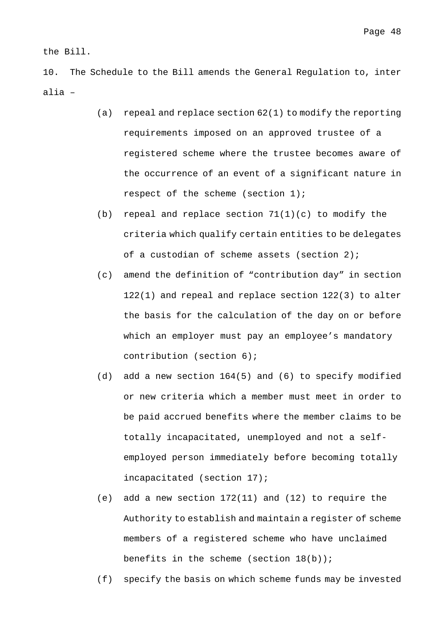the Bill.

10. The Schedule to the Bill amends the General Regulation to, inter alia –

- (a) repeal and replace section 62(1) to modify the reporting requirements imposed on an approved trustee of a registered scheme where the trustee becomes aware of the occurrence of an event of a significant nature in respect of the scheme (section 1);
- (b) repeal and replace section 71(1)(c) to modify the criteria which qualify certain entities to be delegates of a custodian of scheme assets (section 2);
- (c) amend the definition of "contribution day" in section 122(1) and repeal and replace section 122(3) to alter the basis for the calculation of the day on or before which an employer must pay an employee's mandatory contribution (section 6);
- (d) add a new section 164(5) and (6) to specify modified or new criteria which a member must meet in order to be paid accrued benefits where the member claims to be totally incapacitated, unemployed and not a selfemployed person immediately before becoming totally incapacitated (section 17);
- (e) add a new section 172(11) and (12) to require the Authority to establish and maintain a register of scheme members of a registered scheme who have unclaimed benefits in the scheme (section  $18(b)$ );
- (f) specify the basis on which scheme funds may be invested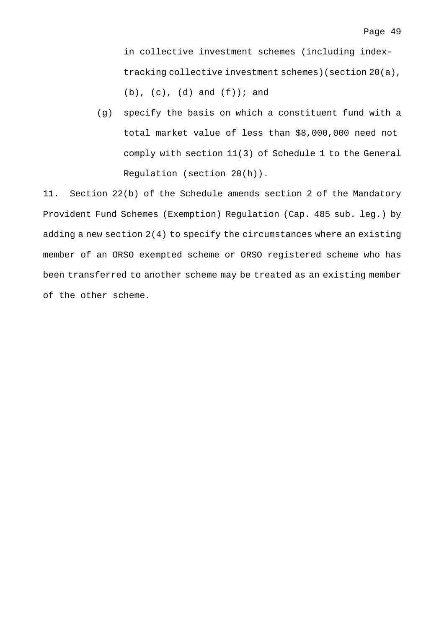in collective investment schemes (including indextracking collective investment schemes)(section 20(a),  $(b)$ ,  $(c)$ ,  $(d)$  and  $(f)$ ); and

(g) specify the basis on which a constituent fund with a total market value of less than \$8,000,000 need not comply with section 11(3) of Schedule 1 to the General Regulation (section 20(h)).

11. Section 22(b) of the Schedule amends section 2 of the Mandatory Provident Fund Schemes (Exemption) Regulation (Cap. 485 sub. leg.) by adding a new section 2(4) to specify the circumstances where an existing member of an ORSO exempted scheme or ORSO registered scheme who has been transferred to another scheme may be treated as an existing member of the other scheme.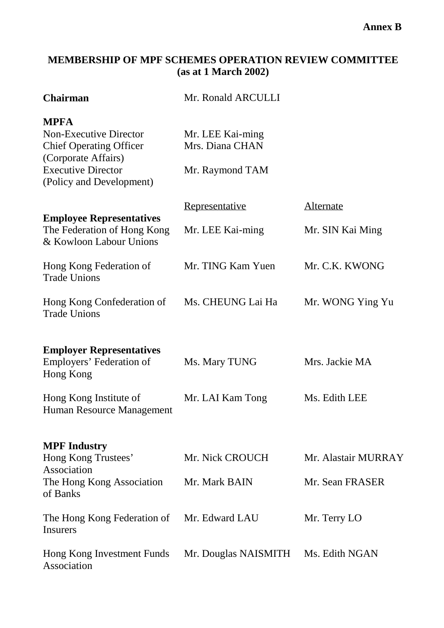# **MEMBERSHIP OF MPF SCHEMES OPERATION REVIEW COMMITTEE (as at 1 March 2002)**

| <b>Chairman</b>                                                                                                                                                | Mr. Ronald ARCULLI                                     |                                        |
|----------------------------------------------------------------------------------------------------------------------------------------------------------------|--------------------------------------------------------|----------------------------------------|
| <b>MPFA</b><br><b>Non-Executive Director</b><br><b>Chief Operating Officer</b><br>(Corporate Affairs)<br><b>Executive Director</b><br>(Policy and Development) | Mr. LEE Kai-ming<br>Mrs. Diana CHAN<br>Mr. Raymond TAM |                                        |
|                                                                                                                                                                | Representative                                         | <b>Alternate</b>                       |
| <b>Employee Representatives</b><br>The Federation of Hong Kong<br>& Kowloon Labour Unions                                                                      | Mr. LEE Kai-ming                                       | Mr. SIN Kai Ming                       |
| Hong Kong Federation of<br><b>Trade Unions</b>                                                                                                                 | Mr. TING Kam Yuen                                      | Mr. C.K. KWONG                         |
| Hong Kong Confederation of<br><b>Trade Unions</b>                                                                                                              | Ms. CHEUNG Lai Ha                                      | Mr. WONG Ying Yu                       |
| <b>Employer Representatives</b><br>Employers' Federation of<br>Hong Kong                                                                                       | Ms. Mary TUNG                                          | Mrs. Jackie MA                         |
| Hong Kong Institute of<br>Human Resource Management                                                                                                            | Mr. LAI Kam Tong                                       | Ms. Edith LEE                          |
| <b>MPF</b> Industry<br>Hong Kong Trustees'<br>Association<br>The Hong Kong Association<br>of Banks                                                             | Mr. Nick CROUCH<br>Mr. Mark BAIN                       | Mr. Alastair MURRAY<br>Mr. Sean FRASER |
| The Hong Kong Federation of<br><b>Insurers</b>                                                                                                                 | Mr. Edward LAU                                         | Mr. Terry LO                           |
| Hong Kong Investment Funds<br>Association                                                                                                                      | Mr. Douglas NAISMITH                                   | Ms. Edith NGAN                         |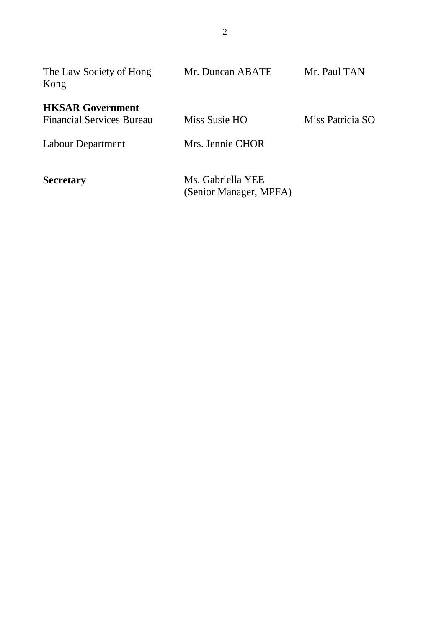| The Law Society of Hong<br>Kong                             | Mr. Duncan ABATE                            | Mr. Paul TAN     |
|-------------------------------------------------------------|---------------------------------------------|------------------|
| <b>HKSAR Government</b><br><b>Financial Services Bureau</b> | Miss Susie HO                               | Miss Patricia SO |
| Labour Department                                           | Mrs. Jennie CHOR                            |                  |
| <b>Secretary</b>                                            | Ms. Gabriella YEE<br>(Senior Manager, MPFA) |                  |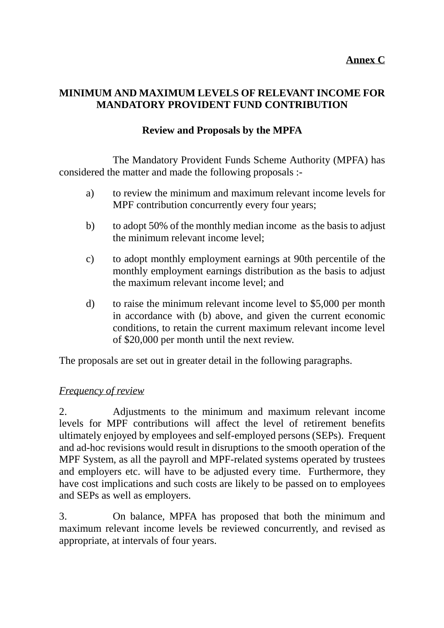# **MINIMUM AND MAXIMUM LEVELS OF RELEVANT INCOME FOR MANDATORY PROVIDENT FUND CONTRIBUTION**

# **Review and Proposals by the MPFA**

The Mandatory Provident Funds Scheme Authority (MPFA) has considered the matter and made the following proposals :-

- a) to review the minimum and maximum relevant income levels for MPF contribution concurrently every four years;
- b) to adopt 50% of the monthly median income as the basis to adjust the minimum relevant income level;
- c) to adopt monthly employment earnings at 90th percentile of the monthly employment earnings distribution as the basis to adjust the maximum relevant income level; and
- d) to raise the minimum relevant income level to \$5,000 per month in accordance with (b) above, and given the current economic conditions, to retain the current maximum relevant income level of \$20,000 per month until the next review.

The proposals are set out in greater detail in the following paragraphs.

## *Frequency of review*

2. Adjustments to the minimum and maximum relevant income levels for MPF contributions will affect the level of retirement benefits ultimately enjoyed by employees and self-employed persons (SEPs). Frequent and ad-hoc revisions would result in disruptions to the smooth operation of the MPF System, as all the payroll and MPF-related systems operated by trustees and employers etc. will have to be adjusted every time. Furthermore, they have cost implications and such costs are likely to be passed on to employees and SEPs as well as employers.

3. On balance, MPFA has proposed that both the minimum and maximum relevant income levels be reviewed concurrently, and revised as appropriate, at intervals of four years.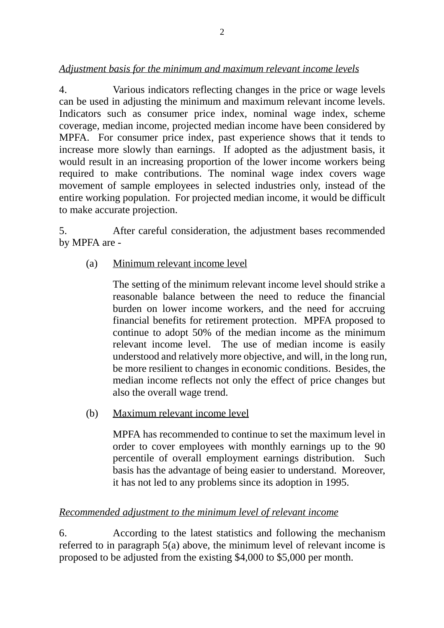# *Adjustment basis for the minimum and maximum relevant income levels*

4. Various indicators reflecting changes in the price or wage levels can be used in adjusting the minimum and maximum relevant income levels. Indicators such as consumer price index, nominal wage index, scheme coverage, median income, projected median income have been considered by MPFA. For consumer price index, past experience shows that it tends to increase more slowly than earnings. If adopted as the adjustment basis, it would result in an increasing proportion of the lower income workers being required to make contributions. The nominal wage index covers wage movement of sample employees in selected industries only, instead of the entire working population. For projected median income, it would be difficult to make accurate projection.

5. After careful consideration, the adjustment bases recommended by MPFA are -

(a) Minimum relevant income level

The setting of the minimum relevant income level should strike a reasonable balance between the need to reduce the financial burden on lower income workers, and the need for accruing financial benefits for retirement protection. MPFA proposed to continue to adopt 50% of the median income as the minimum relevant income level. The use of median income is easily understood and relatively more objective, and will, in the long run, be more resilient to changes in economic conditions. Besides, the median income reflects not only the effect of price changes but also the overall wage trend.

(b) Maximum relevant income level

MPFA has recommended to continue to set the maximum level in order to cover employees with monthly earnings up to the 90 percentile of overall employment earnings distribution. Such basis has the advantage of being easier to understand. Moreover, it has not led to any problems since its adoption in 1995.

# *Recommended adjustment to the minimum level of relevant income*

6. According to the latest statistics and following the mechanism referred to in paragraph 5(a) above, the minimum level of relevant income is proposed to be adjusted from the existing \$4,000 to \$5,000 per month.